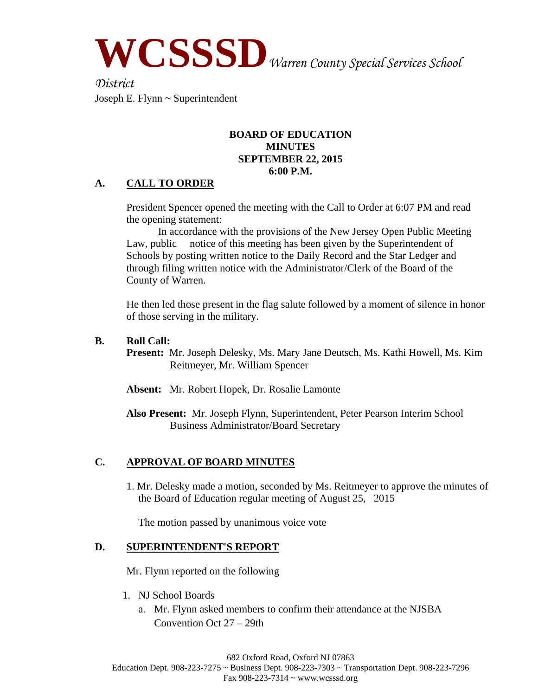**WCSSSD***Warren County Special Services School* 

*District* Joseph E. Flynn ~ Superintendent

#### **BOARD OF EDUCATION MINUTES SEPTEMBER 22, 2015 6:00 P.M.**

# **A. CALL TO ORDER**

President Spencer opened the meeting with the Call to Order at 6:07 PM and read the opening statement:

 In accordance with the provisions of the New Jersey Open Public Meeting Law, public notice of this meeting has been given by the Superintendent of Schools by posting written notice to the Daily Record and the Star Ledger and through filing written notice with the Administrator/Clerk of the Board of the County of Warren.

He then led those present in the flag salute followed by a moment of silence in honor of those serving in the military.

#### **B. Roll Call:**

**Present:** Mr. Joseph Delesky, Ms. Mary Jane Deutsch, Ms. Kathi Howell, Ms. Kim Reitmeyer, Mr. William Spencer

**Absent:** Mr. Robert Hopek, Dr. Rosalie Lamonte

**Also Present:** Mr. Joseph Flynn, Superintendent, Peter Pearson Interim School Business Administrator/Board Secretary

# **C. APPROVAL OF BOARD MINUTES**

1. Mr. Delesky made a motion, seconded by Ms. Reitmeyer to approve the minutes of the Board of Education regular meeting of August 25, 2015

The motion passed by unanimous voice vote

## **D. SUPERINTENDENT'S REPORT**

Mr. Flynn reported on the following

- 1. NJ School Boards
	- a. Mr. Flynn asked members to confirm their attendance at the NJSBA Convention Oct 27 – 29th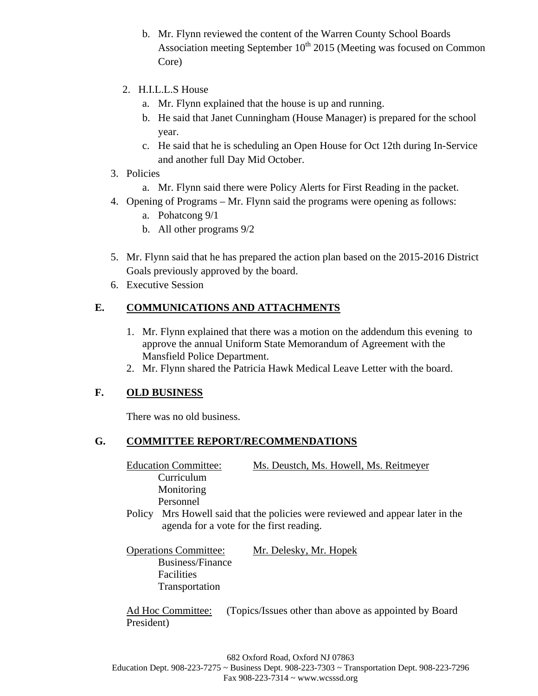- b. Mr. Flynn reviewed the content of the Warren County School Boards Association meeting September  $10^{th}$  2015 (Meeting was focused on Common Core)
- 2. H.I.L.L.S House
	- a. Mr. Flynn explained that the house is up and running.
	- b. He said that Janet Cunningham (House Manager) is prepared for the school year.
	- c. He said that he is scheduling an Open House for Oct 12th during In-Service and another full Day Mid October.
- 3. Policies
	- a. Mr. Flynn said there were Policy Alerts for First Reading in the packet.
- 4. Opening of Programs Mr. Flynn said the programs were opening as follows:
	- a. Pohatcong 9/1
	- b. All other programs 9/2
- 5. Mr. Flynn said that he has prepared the action plan based on the 2015-2016 District Goals previously approved by the board.
- 6. Executive Session

# **E. COMMUNICATIONS AND ATTACHMENTS**

- 1. Mr. Flynn explained that there was a motion on the addendum this evening to approve the annual Uniform State Memorandum of Agreement with the Mansfield Police Department.
- 2. Mr. Flynn shared the Patricia Hawk Medical Leave Letter with the board.

# **F. OLD BUSINESS**

There was no old business.

# **G. COMMITTEE REPORT/RECOMMENDATIONS**

Education Committee: Ms. Deustch, Ms. Howell, Ms. Reitmeyer Curriculum Monitoring Personnel

- Policy Mrs Howell said that the policies were reviewed and appear later in the agenda for a vote for the first reading.
- Operations Committee: Mr. Delesky, Mr. Hopek Business/Finance Facilities Transportation

Ad Hoc Committee: (Topics/Issues other than above as appointed by Board President)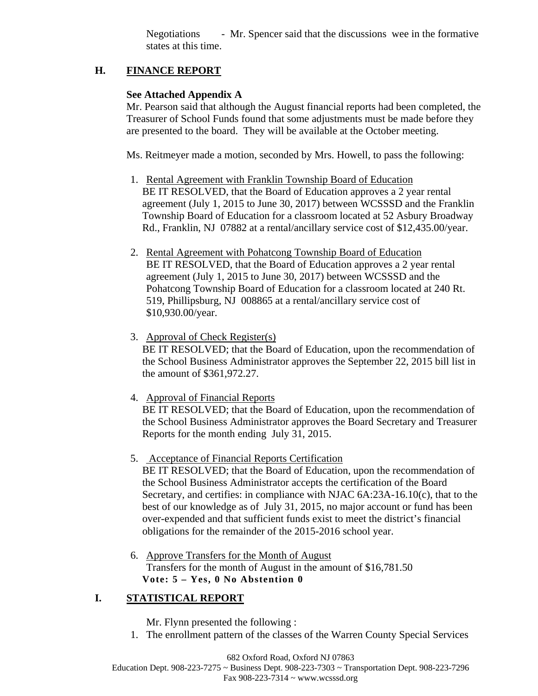Negotiations - Mr. Spencer said that the discussions wee in the formative states at this time.

# **H. FINANCE REPORT**

# **See Attached Appendix A**

Mr. Pearson said that although the August financial reports had been completed, the Treasurer of School Funds found that some adjustments must be made before they are presented to the board. They will be available at the October meeting.

Ms. Reitmeyer made a motion, seconded by Mrs. Howell, to pass the following:

- 1. Rental Agreement with Franklin Township Board of Education BE IT RESOLVED, that the Board of Education approves a 2 year rental agreement (July 1, 2015 to June 30, 2017) between WCSSSD and the Franklin Township Board of Education for a classroom located at 52 Asbury Broadway Rd., Franklin, NJ 07882 at a rental/ancillary service cost of \$12,435.00/year.
- 2. Rental Agreement with Pohatcong Township Board of Education BE IT RESOLVED, that the Board of Education approves a 2 year rental agreement (July 1, 2015 to June 30, 2017) between WCSSSD and the Pohatcong Township Board of Education for a classroom located at 240 Rt. 519, Phillipsburg, NJ 008865 at a rental/ancillary service cost of \$10,930.00/year.
- 3. Approval of Check Register(s) BE IT RESOLVED; that the Board of Education, upon the recommendation of the School Business Administrator approves the September 22, 2015 bill list in the amount of \$361,972.27.
- 4. Approval of Financial Reports BE IT RESOLVED; that the Board of Education, upon the recommendation of the School Business Administrator approves the Board Secretary and Treasurer Reports for the month ending July 31, 2015.
- 5. Acceptance of Financial Reports Certification BE IT RESOLVED; that the Board of Education, upon the recommendation of the School Business Administrator accepts the certification of the Board Secretary, and certifies: in compliance with NJAC 6A:23A-16.10(c), that to the best of our knowledge as of July 31, 2015, no major account or fund has been over-expended and that sufficient funds exist to meet the district's financial obligations for the remainder of the 2015-2016 school year.
- 6. Approve Transfers for the Month of August Transfers for the month of August in the amount of \$16,781.50 **Vote: 5 – Yes, 0 No Abstention 0**

# **I. STATISTICAL REPORT**

Mr. Flynn presented the following :

1. The enrollment pattern of the classes of the Warren County Special Services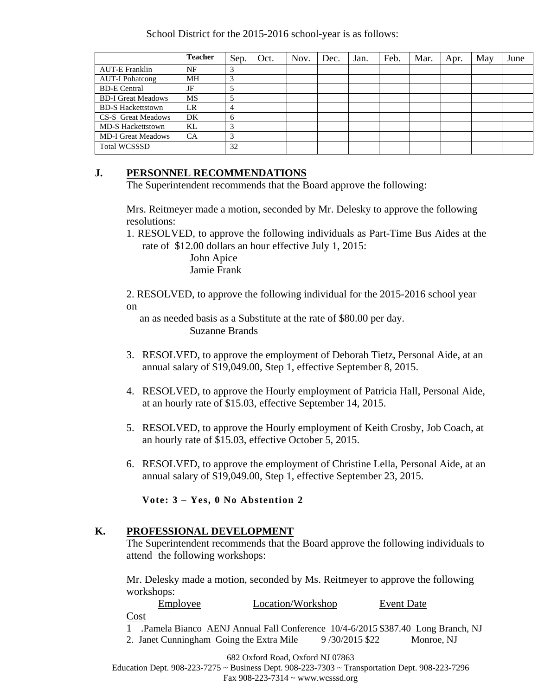School District for the 2015-2016 school-year is as follows:

|                           | <b>Teacher</b> | Sep. | Oct. | Nov. | Dec. | Jan. | Feb. | Mar. | Apr. | May | June |
|---------------------------|----------------|------|------|------|------|------|------|------|------|-----|------|
| <b>AUT-E Franklin</b>     | NF             |      |      |      |      |      |      |      |      |     |      |
| <b>AUT-I Pohatcong</b>    | МH             | 3    |      |      |      |      |      |      |      |     |      |
| <b>BD-E</b> Central       | JF             |      |      |      |      |      |      |      |      |     |      |
| <b>BD-I Great Meadows</b> | <b>MS</b>      |      |      |      |      |      |      |      |      |     |      |
| <b>BD-S Hackettstown</b>  | LR             |      |      |      |      |      |      |      |      |     |      |
| <b>CS-S</b> Great Meadows | DK             | 6    |      |      |      |      |      |      |      |     |      |
| <b>MD-S Hackettstown</b>  | KL             |      |      |      |      |      |      |      |      |     |      |
| <b>MD-I Great Meadows</b> | CA             |      |      |      |      |      |      |      |      |     |      |
| <b>Total WCSSSD</b>       |                | 32   |      |      |      |      |      |      |      |     |      |

## **J. PERSONNEL RECOMMENDATIONS**

The Superintendent recommends that the Board approve the following:

Mrs. Reitmeyer made a motion, seconded by Mr. Delesky to approve the following resolutions:

1. RESOLVED, to approve the following individuals as Part-Time Bus Aides at the rate of \$12.00 dollars an hour effective July 1, 2015:

> John Apice Jamie Frank

2. RESOLVED, to approve the following individual for the 2015-2016 school year on

 an as needed basis as a Substitute at the rate of \$80.00 per day. Suzanne Brands

- 3. RESOLVED, to approve the employment of Deborah Tietz, Personal Aide, at an annual salary of \$19,049.00, Step 1, effective September 8, 2015.
- 4. RESOLVED, to approve the Hourly employment of Patricia Hall, Personal Aide, at an hourly rate of \$15.03, effective September 14, 2015.
- 5. RESOLVED, to approve the Hourly employment of Keith Crosby, Job Coach, at an hourly rate of \$15.03, effective October 5, 2015.
- 6. RESOLVED, to approve the employment of Christine Lella, Personal Aide, at an annual salary of \$19,049.00, Step 1, effective September 23, 2015.

**Vote: 3 – Yes, 0 No Abstention 2**

## **K. PROFESSIONAL DEVELOPMENT**

 The Superintendent recommends that the Board approve the following individuals to attend the following workshops:

Mr. Delesky made a motion, seconded by Ms. Reitmeyer to approve the following workshops:

Employee Location/Workshop Event Date

Cost

1 .Pamela Bianco AENJ Annual Fall Conference 10/4-6/2015 \$387.40 Long Branch, NJ 2. Janet Cunningham Going the Extra Mile  $9/30/2015$  \$22 Monroe, NJ

682 Oxford Road, Oxford NJ 07863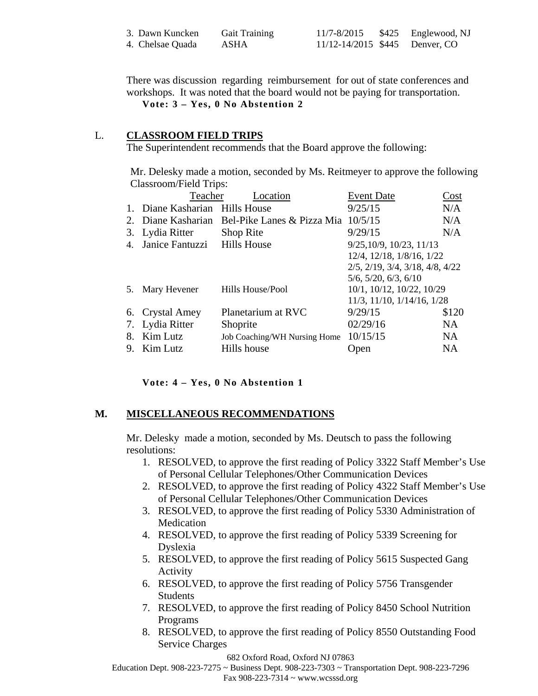| 3. Dawn Kuncken  | <b>Gait Training</b> | 11/7-8/2015                        | \$425 Englewood, NJ |
|------------------|----------------------|------------------------------------|---------------------|
| 4. Chelsae Quada | ASHA                 | $11/12 - 14/2015$ \$445 Denver, CO |                     |

There was discussion regarding reimbursement for out of state conferences and workshops. It was noted that the board would not be paying for transportation.

**Vote: 3 – Yes, 0 No Abstention 2**

#### L. **CLASSROOM FIELD TRIPS**

The Superintendent recommends that the Board approve the following:

Mr. Delesky made a motion, seconded by Ms. Reitmeyer to approve the following Classroom/Field Trips:

|             | Teacher                        | Location                                      | <b>Event Date</b>                                | Cost      |
|-------------|--------------------------------|-----------------------------------------------|--------------------------------------------------|-----------|
|             | 1. Diane Kasharian Hills House |                                               | 9/25/15                                          | N/A       |
|             |                                | 2. Diane Kasharian Bel-Pike Lanes & Pizza Mia | 10/5/15                                          | N/A       |
|             | 3. Lydia Ritter                | Shop Rite                                     | 9/29/15                                          | N/A       |
| $4_{\cdot}$ | Janice Fantuzzi Hills House    |                                               | 9/25, 10/9, 10/23, 11/13                         |           |
|             |                                |                                               | 12/4, 12/18, 1/8/16, 1/22                        |           |
|             |                                |                                               | $2/5$ , $2/19$ , $3/4$ , $3/18$ , $4/8$ , $4/22$ |           |
|             |                                |                                               | $5/6$ , $5/20$ , $6/3$ , $6/10$                  |           |
| 5.          | Mary Hevener                   | Hills House/Pool                              | 10/1, 10/12, 10/22, 10/29                        |           |
|             |                                |                                               | 11/3, 11/10, 1/14/16, 1/28                       |           |
|             | 6. Crystal Amey                | Planetarium at RVC                            | 9/29/15                                          | \$120     |
|             | 7. Lydia Ritter                | Shoprite                                      | 02/29/16                                         | <b>NA</b> |
| 8.          | Kim Lutz                       | Job Coaching/WH Nursing Home                  | 10/15/15                                         | NA.       |
| 9.          | Kim Lutz                       | Hills house                                   | Open                                             | NA        |

#### **Vote: 4 – Yes, 0 No Abstention 1**

## **M. MISCELLANEOUS RECOMMENDATIONS**

Mr. Delesky made a motion, seconded by Ms. Deutsch to pass the following resolutions:

- 1. RESOLVED, to approve the first reading of Policy 3322 Staff Member's Use of Personal Cellular Telephones/Other Communication Devices
- 2. RESOLVED, to approve the first reading of Policy 4322 Staff Member's Use of Personal Cellular Telephones/Other Communication Devices
- 3. RESOLVED, to approve the first reading of Policy 5330 Administration of Medication
- 4. RESOLVED, to approve the first reading of Policy 5339 Screening for Dyslexia
- 5. RESOLVED, to approve the first reading of Policy 5615 Suspected Gang Activity
- 6. RESOLVED, to approve the first reading of Policy 5756 Transgender Students
- 7. RESOLVED, to approve the first reading of Policy 8450 School Nutrition Programs
- 8. RESOLVED, to approve the first reading of Policy 8550 Outstanding Food Service Charges

#### 682 Oxford Road, Oxford NJ 07863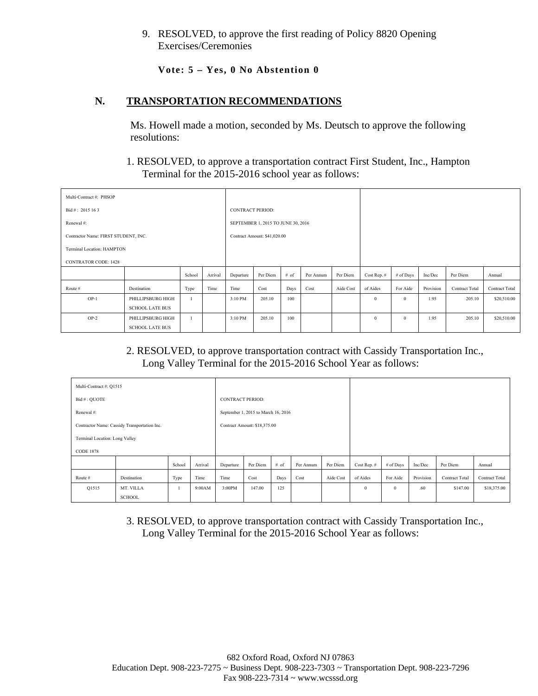9. RESOLVED, to approve the first reading of Policy 8820 Opening Exercises/Ceremonies

**Vote: 5 – Yes, 0 No Abstention 0**

## **N. TRANSPORTATION RECOMMENDATIONS**

Ms. Howell made a motion, seconded by Ms. Deutsch to approve the following resolutions:

## 1. RESOLVED, to approve a transportation contract First Student, Inc., Hampton Terminal for the 2015-2016 school year as follows:

| Multi-Contract #: PHSOP              |                        |         |         |                         |                                    |      |           |              |             |              |             |                       |                       |
|--------------------------------------|------------------------|---------|---------|-------------------------|------------------------------------|------|-----------|--------------|-------------|--------------|-------------|-----------------------|-----------------------|
| Bid#: 2015 16 3                      |                        |         |         | <b>CONTRACT PERIOD:</b> |                                    |      |           |              |             |              |             |                       |                       |
| Renewal #:                           |                        |         |         |                         | SEPTEMBER 1, 2015 TO JUNE 30, 2016 |      |           |              |             |              |             |                       |                       |
| Contractor Name: FIRST STUDENT, INC. |                        |         |         |                         | Contract Amount: \$41,020.00       |      |           |              |             |              |             |                       |                       |
| Terminal Location: HAMPTON           |                        |         |         |                         |                                    |      |           |              |             |              |             |                       |                       |
| <b>CONTRATOR CODE: 1428</b>          |                        |         |         |                         |                                    |      |           |              |             |              |             |                       |                       |
|                                      |                        | School  | Arrival | Departure               | Per Diem                           | # of | Per Annum | Per Diem     | Cost Rep. # | # of Days    | Inc/Dec     | Per Diem              | Annual                |
| Route #                              | Destination            | Type    | Time    | Time                    | Cost                               | Days | Cost      | Aide Cost    | of Aides    | For Aide     | Provision   | <b>Contract Total</b> | <b>Contract Total</b> |
| $OP-1$                               | PHILLIPSBURG HIGH      |         |         |                         |                                    | 100  |           |              | $\theta$    | $\mathbf{0}$ | 1.95        | 205.10                | \$20,510.00           |
|                                      | <b>SCHOOL LATE BUS</b> |         |         |                         |                                    |      |           |              |             |              |             |                       |                       |
| $OP-2$                               |                        | 3:10 PM | 205.10  | 100                     |                                    |      | $\theta$  | $\mathbf{0}$ | 1.95        | 205.10       | \$20,510.00 |                       |                       |
|                                      | <b>SCHOOL LATE BUS</b> |         |         |                         |                                    |      |           |              |             |              |             |                       |                       |

## 2. RESOLVED, to approve transportation contract with Cassidy Transportation Inc., Long Valley Terminal for the 2015-2016 School Year as follows:

| Multi-Contract #: Q1515 |                                              |        |         |                         |                                     |      |           |          |             |              |           |                |                       |
|-------------------------|----------------------------------------------|--------|---------|-------------------------|-------------------------------------|------|-----------|----------|-------------|--------------|-----------|----------------|-----------------------|
| Bid #: QUOTE            |                                              |        |         | <b>CONTRACT PERIOD:</b> |                                     |      |           |          |             |              |           |                |                       |
| Renewal#:               |                                              |        |         |                         | September 1, 2015 to March 16, 2016 |      |           |          |             |              |           |                |                       |
|                         | Contractor Name: Cassidy Transportation Inc. |        |         |                         | Contract Amount: \$18,375.00        |      |           |          |             |              |           |                |                       |
|                         | Terminal Location: Long Valley               |        |         |                         |                                     |      |           |          |             |              |           |                |                       |
| <b>CODE 1878</b>        |                                              |        |         |                         |                                     |      |           |          |             |              |           |                |                       |
|                         |                                              | School | Arrival | Departure               | Per Diem                            | # of | Per Annum | Per Diem | Cost Rep. # | # of Days    | Inc/Dec   | Per Diem       | Annual                |
| Route #                 | Destination                                  | Type   | Time    | Time                    | Cost<br>Cost<br>Aide Cost<br>Days   |      |           |          |             | For Aide     | Provision | Contract Total | <b>Contract Total</b> |
| Q1515                   | MT. VILLA                                    | -1     | 9:00AM  | 3:00PM                  | 125<br>147.00                       |      |           |          |             | $\mathbf{0}$ | .60       | \$147.00       | \$18,375.00           |
|                         | SCHOOL                                       |        |         |                         |                                     |      |           |          |             |              |           |                |                       |

3. RESOLVED, to approve transportation contract with Cassidy Transportation Inc., Long Valley Terminal for the 2015-2016 School Year as follows: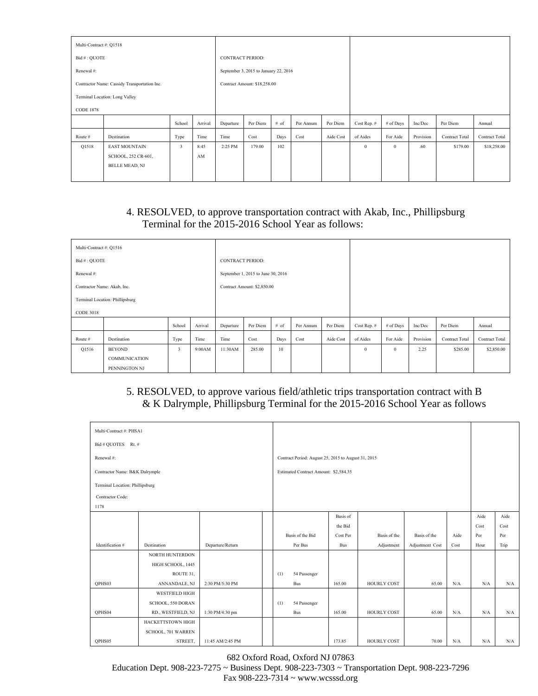| Multi-Contract #: Q1518 |                                              |                        |         |                         |                                       |      |           |           |             |           |           |                       |                |
|-------------------------|----------------------------------------------|------------------------|---------|-------------------------|---------------------------------------|------|-----------|-----------|-------------|-----------|-----------|-----------------------|----------------|
| Bid #: QUOTE            |                                              |                        |         | <b>CONTRACT PERIOD:</b> |                                       |      |           |           |             |           |           |                       |                |
| Renewal#:               |                                              |                        |         |                         | September 3, 2015 to January 22, 2016 |      |           |           |             |           |           |                       |                |
|                         | Contractor Name: Cassidy Transportation Inc. |                        |         |                         | Contract Amount: \$18,258.00          |      |           |           |             |           |           |                       |                |
|                         | Terminal Location: Long Valley               |                        |         |                         |                                       |      |           |           |             |           |           |                       |                |
| <b>CODE 1878</b>        |                                              |                        |         |                         |                                       |      |           |           |             |           |           |                       |                |
|                         |                                              | School                 | Arrival | Departure               | Per Diem                              | # of | Per Annum | Per Diem  | Cost Rep. # | # of Days | Inc/Dec   | Per Diem              | Annual         |
| Route #                 | Destination                                  | Type                   | Time    | Time                    | Cost                                  | Days | Cost      | Aide Cost | of Aides    | For Aide  | Provision | <b>Contract Total</b> | Contract Total |
| Q1518                   | <b>EAST MOUNTAIN</b>                         | 3                      | 8:45    | 2:25 PM                 | 179.00                                | 102  |           |           | $\theta$    | $\theta$  | .60       | \$179.00              | \$18,258.00    |
|                         | SCHOOL, 252 CR-601,                          | $\mathbf{A}\mathbf{M}$ |         |                         |                                       |      |           |           |             |           |           |                       |                |
|                         | <b>BELLE MEAD, NJ</b>                        |                        |         |                         |                                       |      |           |           |             |           |           |                       |                |
|                         |                                              |                        |         |                         |                                       |      |           |           |             |           |           |                       |                |

# 4. RESOLVED, to approve transportation contract with Akab, Inc., Phillipsburg Terminal for the 2015-2016 School Year as follows:

| Multi-Contract #: Q1516 |                                                        |        |         |                         |                                    |      |           |           |             |           |           |                |                |
|-------------------------|--------------------------------------------------------|--------|---------|-------------------------|------------------------------------|------|-----------|-----------|-------------|-----------|-----------|----------------|----------------|
| Bid #: QUOTE            |                                                        |        |         | <b>CONTRACT PERIOD:</b> |                                    |      |           |           |             |           |           |                |                |
| Renewal #:              |                                                        |        |         |                         | September 1, 2015 to June 30, 2016 |      |           |           |             |           |           |                |                |
|                         | Contractor Name: Akab, Inc.                            |        |         |                         | Contract Amount: \$2,850.00        |      |           |           |             |           |           |                |                |
|                         | Terminal Location: Phillipsburg                        |        |         |                         |                                    |      |           |           |             |           |           |                |                |
| <b>CODE 3018</b>        |                                                        |        |         |                         |                                    |      |           |           |             |           |           |                |                |
|                         |                                                        | School | Arrival | Departure               | Per Diem                           | # of | Per Annum | Per Diem  | Cost Rep. # | # of Days | Inc/Dec   | Per Diem       | Annual         |
| Route #                 | Destination                                            | Type   | Time    | Time                    | Cost                               | Days | Cost      | Aide Cost | of Aides    | For Aide  | Provision | Contract Total | Contract Total |
| Q1516                   | <b>BEYOND</b><br><b>COMMUNICATION</b><br>PENNINGTON NJ | 3      | 9:00AM  | 11:30AM                 | 285.00                             | 10   |           |           | $\theta$    | $\theta$  | 2.25      | \$285.00       | \$2,850.00     |

# 5. RESOLVED, to approve various field/athletic trips transportation contract with B & K Dalrymple, Phillipsburg Terminal for the 2015-2016 School Year as follows

| Multi-Contract #: PHSA1         |                       |                  |     |                                                     |            |              |                 |      |      |      |
|---------------------------------|-----------------------|------------------|-----|-----------------------------------------------------|------------|--------------|-----------------|------|------|------|
| Bid # QUOTES Rt. #              |                       |                  |     |                                                     |            |              |                 |      |      |      |
| Renewal #:                      |                       |                  |     | Contract Period: August 25, 2015 to August 31, 2015 |            |              |                 |      |      |      |
| Contractor Name: B&K Dalrymple  |                       |                  |     | Estimated Contract Amount: \$2,584.35               |            |              |                 |      |      |      |
| Terminal Location: Phillipsburg |                       |                  |     |                                                     |            |              |                 |      |      |      |
| Contractor Code:                |                       |                  |     |                                                     |            |              |                 |      |      |      |
| 1178                            |                       |                  |     |                                                     |            |              |                 |      |      |      |
|                                 |                       |                  |     |                                                     | Basis of   |              |                 |      | Aide | Aide |
|                                 |                       |                  |     |                                                     | the Bid    |              |                 |      | Cost | Cost |
|                                 |                       |                  |     | Basis of the Bid                                    | Cost Per   | Basis of the | Basis of the    | Aide | Per  | Per  |
| Identification #                | Destination           | Departure/Return |     | Per Bus                                             | <b>Bus</b> | Adjustment   | Adjustment Cost | Cost | Hour | Trip |
|                                 | NORTH HUNTERDON       |                  |     |                                                     |            |              |                 |      |      |      |
|                                 | HIGH SCHOOL, 1445     |                  |     |                                                     |            |              |                 |      |      |      |
|                                 | ROUTE 31,             |                  | (1) | 54 Passenger                                        |            |              |                 |      |      |      |
| OPHS03                          | ANNANDALE, NJ         | 2:30 PM/5:30 PM  |     | Bus                                                 | 165.00     | HOURLY COST  | 65.00           | N/A  | N/A  | N/A  |
|                                 | <b>WESTFIELD HIGH</b> |                  |     |                                                     |            |              |                 |      |      |      |
|                                 | SCHOOL, 550 DORAN     |                  | (1) | 54 Passenger                                        |            |              |                 |      |      |      |
| OPHS04                          | RD., WESTFIELD, NJ    | 1:30 PM/4:30 pm  |     | Bus                                                 | 165.00     | HOURLY COST  | 65.00           | N/A  | N/A  | N/A  |
|                                 | HACKETTSTOWN HIGH     |                  |     |                                                     |            |              |                 |      |      |      |
|                                 | SCHOOL, 701 WARREN    |                  |     |                                                     |            |              |                 |      |      |      |
| OPHS05                          | STREET,               | 11:45 AM/2:45 PM |     |                                                     | 173.85     | HOURLY COST  | 70.00           | N/A  | N/A  | N/A  |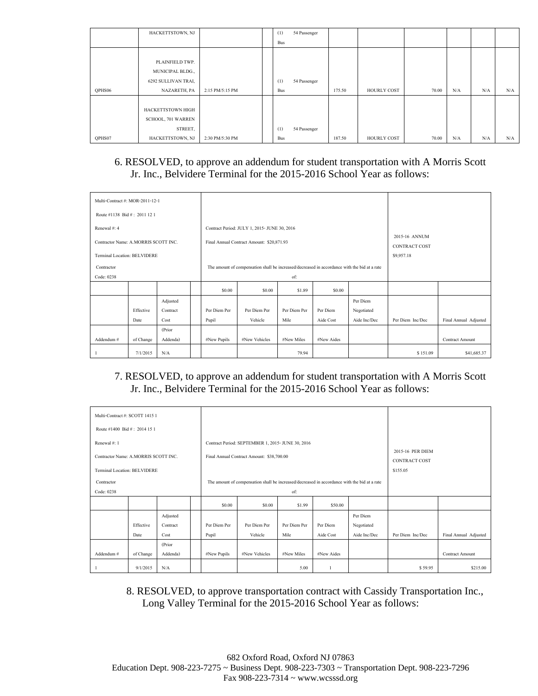|        | HACKETTSTOWN, NJ    |                 | (1)        | 54 Passenger |        |             |       |     |     |     |
|--------|---------------------|-----------------|------------|--------------|--------|-------------|-------|-----|-----|-----|
|        |                     |                 | <b>Bus</b> |              |        |             |       |     |     |     |
|        |                     |                 |            |              |        |             |       |     |     |     |
|        | PLAINFIELD TWP.     |                 |            |              |        |             |       |     |     |     |
|        | MUNICIPAL BLDG.,    |                 |            |              |        |             |       |     |     |     |
|        | 6292 SULLIVAN TRAI, |                 | (1)        | 54 Passenger |        |             |       |     |     |     |
| OPHS06 | NAZARETH, PA        | 2:15 PM/5:15 PM | <b>Bus</b> |              | 175.50 | HOURLY COST | 70.00 | N/A | N/A | N/A |
|        |                     |                 |            |              |        |             |       |     |     |     |
|        | HACKETTSTOWN HIGH   |                 |            |              |        |             |       |     |     |     |
|        | SCHOOL, 701 WARREN  |                 |            |              |        |             |       |     |     |     |
|        | STREET,             |                 | (1)        | 54 Passenger |        |             |       |     |     |     |
| QPHS07 | HACKETTSTOWN, NJ    | 2:30 PM/5:30 PM | <b>Bus</b> |              | 187.50 | HOURLY COST | 70.00 | N/A | N/A | N/A |

## 6. RESOLVED, to approve an addendum for student transportation with A Morris Scott Jr. Inc., Belvidere Terminal for the 2015-2016 School Year as follows:

| Multi-Contract #: MOR-2011-12-1                                             |                   |                              |                       |                                                                                              |                      |                       |                                              |                  |                        |
|-----------------------------------------------------------------------------|-------------------|------------------------------|-----------------------|----------------------------------------------------------------------------------------------|----------------------|-----------------------|----------------------------------------------|------------------|------------------------|
| Route #1138 Bid #: 2011 12 1                                                |                   |                              |                       |                                                                                              |                      |                       |                                              |                  |                        |
| Renewal #: 4                                                                |                   |                              |                       | Contract Period: JULY 1, 2015- JUNE 30, 2016                                                 |                      |                       |                                              |                  |                        |
| Contractor Name: A.MORRIS SCOTT INC.<br><b>Terminal Location: BELVIDERE</b> |                   |                              |                       | Final Annual Contract Amount: \$20,871.93                                                    |                      |                       | 2015-16 ANNUM<br>CONTRACT COST<br>\$9,957.18 |                  |                        |
| Contractor<br>Code: 0238                                                    |                   |                              |                       | The amount of compensation shall be increased/decreased in accordance with the bid at a rate |                      |                       |                                              |                  |                        |
|                                                                             |                   |                              | \$0.00                | \$0.00                                                                                       | \$1.89               | \$0.00                |                                              |                  |                        |
|                                                                             | Effective<br>Date | Adjusted<br>Contract<br>Cost | Per Diem Per<br>Pupil | Per Diem Per<br>Vehicle                                                                      | Per Diem Per<br>Mile | Per Diem<br>Aide Cost | Per Diem<br>Negotiated<br>Aide Inc/Dec       | Per Diem Inc/Dec | Final Annual Adjusted  |
| Addendum#                                                                   | of Change         | (Prior<br>Addenda)           | #New Pupils           | #New Vehicles                                                                                | #New Miles           | #New Aides            |                                              |                  | <b>Contract Amount</b> |
|                                                                             | 7/1/2015          | N/A                          |                       |                                                                                              | 79.94                |                       |                                              | \$151.09         | \$41,685.37            |

# 7. RESOLVED, to approve an addendum for student transportation with A Morris Scott Jr. Inc., Belvidere Terminal for the 2015-2016 School Year as follows:

| Multi-Contract #: SCOTT 1415 1       |           |          |              |                                                                                              |              |            |              |                  |                        |
|--------------------------------------|-----------|----------|--------------|----------------------------------------------------------------------------------------------|--------------|------------|--------------|------------------|------------------------|
| Route #1400 Bid #: 2014 15 1         |           |          |              |                                                                                              |              |            |              |                  |                        |
| Renewal #: 1                         |           |          |              | Contract Period: SEPTEMBER 1, 2015- JUNE 30, 2016                                            |              |            |              |                  |                        |
|                                      |           |          |              |                                                                                              |              |            |              | 2015-16 PER DIEM |                        |
| Contractor Name: A.MORRIS SCOTT INC. |           |          |              | Final Annual Contract Amount: \$38,700.00                                                    |              |            |              | CONTRACT COST    |                        |
| Terminal Location: BELVIDERE         |           |          |              |                                                                                              |              |            | \$155.05     |                  |                        |
| Contractor                           |           |          |              | The amount of compensation shall be increased/decreased in accordance with the bid at a rate |              |            |              |                  |                        |
| Code: 0238                           |           |          |              |                                                                                              | of:          |            |              |                  |                        |
|                                      |           |          | \$0.00       | \$0.00                                                                                       | \$1.99       | \$50.00    |              |                  |                        |
|                                      |           | Adjusted |              |                                                                                              |              |            | Per Diem     |                  |                        |
|                                      | Effective | Contract | Per Diem Per | Per Diem Per                                                                                 | Per Diem Per | Per Diem   | Negotiated   |                  |                        |
|                                      | Date      | Cost     | Pupil        | Vehicle                                                                                      | Mile         | Aide Cost  | Aide Inc/Dec | Per Diem Inc/Dec | Final Annual Adjusted  |
|                                      |           | (Prior   |              |                                                                                              |              |            |              |                  |                        |
| Addendum#                            | of Change | Addenda) | #New Pupils  | #New Vehicles                                                                                | #New Miles   | #New Aides |              |                  | <b>Contract Amount</b> |
|                                      | 9/1/2015  | N/A      |              |                                                                                              | 5.00         |            |              | \$59.95          | \$215.00               |

8. RESOLVED, to approve transportation contract with Cassidy Transportation Inc., Long Valley Terminal for the 2015-2016 School Year as follows: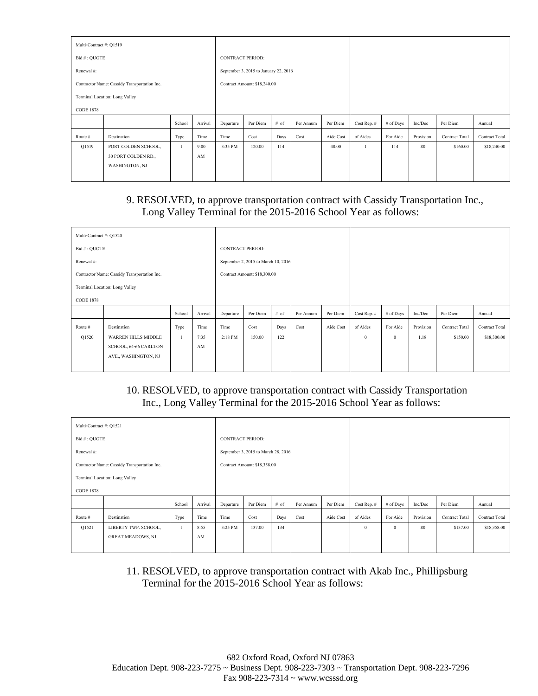| Multi-Contract #: Q1519 |                                                              |        |            |                         |                                       |      |           |           |             |           |           |                |                |
|-------------------------|--------------------------------------------------------------|--------|------------|-------------------------|---------------------------------------|------|-----------|-----------|-------------|-----------|-----------|----------------|----------------|
| Bid #: OUOTE            |                                                              |        |            | <b>CONTRACT PERIOD:</b> |                                       |      |           |           |             |           |           |                |                |
| Renewal #:              |                                                              |        |            |                         | September 3, 2015 to January 22, 2016 |      |           |           |             |           |           |                |                |
|                         | Contractor Name: Cassidy Transportation Inc.                 |        |            |                         | Contract Amount: \$18,240.00          |      |           |           |             |           |           |                |                |
|                         | Terminal Location: Long Valley                               |        |            |                         |                                       |      |           |           |             |           |           |                |                |
| <b>CODE 1878</b>        |                                                              |        |            |                         |                                       |      |           |           |             |           |           |                |                |
|                         |                                                              | School | Arrival    | Departure               | Per Diem                              | # of | Per Annum | Per Diem  | Cost Rep. # | # of Days | Inc/Dec   | Per Diem       | Annual         |
| Route #                 | Destination                                                  | Type   | Time       | Time                    | Cost                                  | Days | Cost      | Aide Cost | of Aides    | For Aide  | Provision | Contract Total | Contract Total |
| Q1519                   | PORT COLDEN SCHOOL,<br>30 PORT COLDEN RD.,<br>WASHINGTON, NJ | 1      | 9:00<br>AM | 3:35 PM                 | 120.00                                | 114  |           | 40.00     |             | 114       | .80       | \$160.00       | \$18,240.00    |

## 9. RESOLVED, to approve transportation contract with Cassidy Transportation Inc., Long Valley Terminal for the 2015-2016 School Year as follows:

| Multi-Contract #: Q1520 |                                              |        |         |                         |                                     |      |           |           |             |           |           |                |                |
|-------------------------|----------------------------------------------|--------|---------|-------------------------|-------------------------------------|------|-----------|-----------|-------------|-----------|-----------|----------------|----------------|
| Bid #: QUOTE            |                                              |        |         | <b>CONTRACT PERIOD:</b> |                                     |      |           |           |             |           |           |                |                |
| Renewal#:               |                                              |        |         |                         | September 2, 2015 to March 10, 2016 |      |           |           |             |           |           |                |                |
|                         | Contractor Name: Cassidy Transportation Inc. |        |         |                         | Contract Amount: \$18,300.00        |      |           |           |             |           |           |                |                |
|                         | Terminal Location: Long Valley               |        |         |                         |                                     |      |           |           |             |           |           |                |                |
| <b>CODE 1878</b>        |                                              |        |         |                         |                                     |      |           |           |             |           |           |                |                |
|                         |                                              | School | Arrival | Departure               | Per Diem                            | # of | Per Annum | Per Diem  | Cost Rep. # | # of Days | Inc/Dec   | Per Diem       | Annual         |
| Route #                 | Destination                                  | Type   | Time    | Time                    | Cost                                | Days | Cost      | Aide Cost | of Aides    | For Aide  | Provision | Contract Total | Contract Total |
| Q1520                   | <b>WARREN HILLS MIDDLE</b>                   | -1     | 7:35    | 2:18 PM                 | 150.00                              | 122  |           |           | $\theta$    | $\theta$  | 1.18      | \$150.00       | \$18,300.00    |
|                         | SCHOOL, 64-66 CARLTON                        |        | AM      |                         |                                     |      |           |           |             |           |           |                |                |
|                         | AVE., WASHINGTON, NJ                         |        |         |                         |                                     |      |           |           |             |           |           |                |                |
|                         |                                              |        |         |                         |                                     |      |           |           |             |           |           |                |                |

## 10. RESOLVED, to approve transportation contract with Cassidy Transportation Inc., Long Valley Terminal for the 2015-2016 School Year as follows:

| Annual         |
|----------------|
| Contract Total |
| \$18,358.00    |
|                |
|                |

11. RESOLVED, to approve transportation contract with Akab Inc., Phillipsburg Terminal for the 2015-2016 School Year as follows: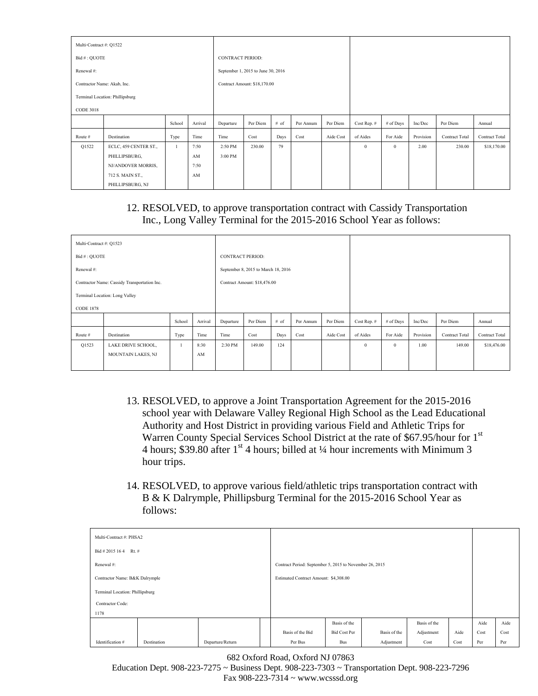| Multi-Contract #: Q1522 |                                 |              |         |                         |                                    |      |           |           |             |              |           |                       |                |
|-------------------------|---------------------------------|--------------|---------|-------------------------|------------------------------------|------|-----------|-----------|-------------|--------------|-----------|-----------------------|----------------|
| Bid #: QUOTE            |                                 |              |         | <b>CONTRACT PERIOD:</b> |                                    |      |           |           |             |              |           |                       |                |
| Renewal #:              |                                 |              |         |                         | September 1, 2015 to June 30, 2016 |      |           |           |             |              |           |                       |                |
|                         | Contractor Name: Akab, Inc.     |              |         |                         | Contract Amount: \$18,170.00       |      |           |           |             |              |           |                       |                |
|                         | Terminal Location: Phillipsburg |              |         |                         |                                    |      |           |           |             |              |           |                       |                |
| <b>CODE 3018</b>        |                                 |              |         |                         |                                    |      |           |           |             |              |           |                       |                |
|                         |                                 | School       | Arrival | Departure               | Per Diem                           | # of | Per Annum | Per Diem  | Cost Rep. # | # of Days    | Inc/Dec   | Per Diem              | Annual         |
| Route #                 | Destination                     | Type         | Time    | Time                    | Cost                               | Days | Cost      | Aide Cost | of Aides    | For Aide     | Provision | <b>Contract Total</b> | Contract Total |
| Q1522                   | ECLC, 459 CENTER ST.,           | $\mathbf{1}$ | 7:50    | 2:50 PM                 | 230.00                             | 79   |           |           | $\theta$    | $\mathbf{0}$ | 2.00      | 230.00                | \$18,170.00    |
|                         | PHILLIPSBURG,                   |              | AM      | 3:00 PM                 |                                    |      |           |           |             |              |           |                       |                |
|                         | NJ/ANDOVER MORRIS,              |              | 7:50    |                         |                                    |      |           |           |             |              |           |                       |                |
|                         | 712 S. MAIN ST.,                |              | AM      |                         |                                    |      |           |           |             |              |           |                       |                |
|                         | PHILLIPSBURG, NJ                |              |         |                         |                                    |      |           |           |             |              |           |                       |                |

## 12. RESOLVED, to approve transportation contract with Cassidy Transportation Inc., Long Valley Terminal for the 2015-2016 School Year as follows:

| Multi-Contract #: Q1523 |                                              |        |         |                         |                                     |      |           |           |              |              |           |                       |                |
|-------------------------|----------------------------------------------|--------|---------|-------------------------|-------------------------------------|------|-----------|-----------|--------------|--------------|-----------|-----------------------|----------------|
| Bid #: QUOTE            |                                              |        |         | <b>CONTRACT PERIOD:</b> |                                     |      |           |           |              |              |           |                       |                |
| Renewal#:               |                                              |        |         |                         | September 8, 2015 to March 18, 2016 |      |           |           |              |              |           |                       |                |
|                         | Contractor Name: Cassidy Transportation Inc. |        |         |                         | Contract Amount: \$18,476.00        |      |           |           |              |              |           |                       |                |
|                         | Terminal Location: Long Valley               |        |         |                         |                                     |      |           |           |              |              |           |                       |                |
| <b>CODE 1878</b>        |                                              |        |         |                         |                                     |      |           |           |              |              |           |                       |                |
|                         |                                              | School | Arrival | Departure               | Per Diem                            | # of | Per Annum | Per Diem  | Cost Rep. #  | # of Days    | Inc/Dec   | Per Diem              | Annual         |
| Route #                 | Destination                                  | Type   | Time    | Time                    | Cost                                | Days | Cost      | Aide Cost | of Aides     | For Aide     | Provision | <b>Contract Total</b> | Contract Total |
| Q1523                   | LAKE DRIVE SCHOOL,                           |        | 8:30    | 2:30 PM                 | 149.00                              | 124  |           |           | $\mathbf{0}$ | $\mathbf{0}$ | 1.00      | 149.00                | \$18,476.00    |
|                         | MOUNTAIN LAKES, NJ                           |        | AM      |                         |                                     |      |           |           |              |              |           |                       |                |
|                         |                                              |        |         |                         |                                     |      |           |           |              |              |           |                       |                |

- 13. RESOLVED, to approve a Joint Transportation Agreement for the 2015-2016 school year with Delaware Valley Regional High School as the Lead Educational Authority and Host District in providing various Field and Athletic Trips for Warren County Special Services School District at the rate of \$67.95/hour for 1<sup>st</sup> 4 hours; \$39.80 after  $1<sup>st</sup>$  4 hours; billed at ¼ hour increments with Minimum 3 hour trips.
- 14. RESOLVED, to approve various field/athletic trips transportation contract with B & K Dalrymple, Phillipsburg Terminal for the 2015-2016 School Year as follows:

| Multi-Contract #: PHSA2         |             |                  |  |                                                         |                     |              |              |      |      |      |
|---------------------------------|-------------|------------------|--|---------------------------------------------------------|---------------------|--------------|--------------|------|------|------|
| Bid # 2015 164<br>Rt. #         |             |                  |  |                                                         |                     |              |              |      |      |      |
| Renewal #:                      |             |                  |  | Contract Period: September 5, 2015 to November 26, 2015 |                     |              |              |      |      |      |
| Contractor Name: B&K Dalrymple  |             |                  |  | Estimated Contract Amount: \$4,308.00                   |                     |              |              |      |      |      |
| Terminal Location: Phillipsburg |             |                  |  |                                                         |                     |              |              |      |      |      |
| Contractor Code:                |             |                  |  |                                                         |                     |              |              |      |      |      |
| 1178                            |             |                  |  |                                                         |                     |              |              |      |      |      |
|                                 |             |                  |  |                                                         | Basis of the        |              | Basis of the |      | Aide | Aide |
|                                 |             |                  |  | Basis of the Bid                                        | <b>Bid Cost Per</b> | Basis of the | Adjustment   | Aide | Cost | Cost |
| Identification #                | Destination | Departure/Return |  | Per Bus                                                 | <b>Bus</b>          | Adjustment   | Cost         | Cost | Per  | Per  |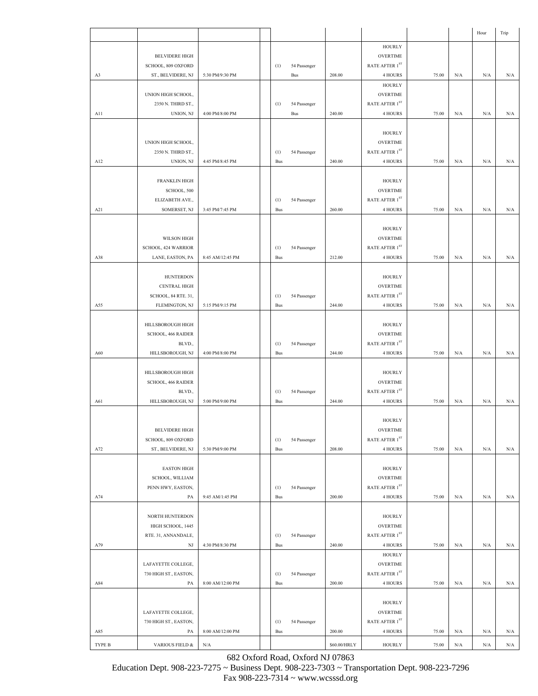|        |                                      |                  |            |              |              |                                   |       |           | Hour      | Trip |
|--------|--------------------------------------|------------------|------------|--------------|--------------|-----------------------------------|-------|-----------|-----------|------|
|        |                                      |                  |            |              |              | <b>HOURLY</b>                     |       |           |           |      |
|        | <b>BELVIDERE HIGH</b>                |                  |            |              |              | <b>OVERTIME</b>                   |       |           |           |      |
|        | SCHOOL, 809 OXFORD                   |                  | (1)        | 54 Passenger |              | RATE AFTER 1ST                    |       |           |           |      |
| A3     | ST., BELVIDERE, NJ                   | 5:30 PM/9:30 PM  |            | Bus          | 208.00       | <b>4 HOURS</b>                    | 75.00 | N/A       | N/A       | N/A  |
|        |                                      |                  |            |              |              | <b>HOURLY</b>                     |       |           |           |      |
|        | UNION HIGH SCHOOL,                   |                  |            |              |              | <b>OVERTIME</b>                   |       |           |           |      |
|        | 2350 N. THIRD ST.,                   |                  | (1)        | 54 Passenger |              | RATE AFTER 1ST                    |       |           |           |      |
| A11    | UNION, NJ                            | 4:00 PM/8:00 PM  |            | Bus          | 240.00       | 4 HOURS                           | 75.00 | N/A       | N/A       | N/A  |
|        |                                      |                  |            |              |              |                                   |       |           |           |      |
|        |                                      |                  |            |              |              | <b>HOURLY</b>                     |       |           |           |      |
|        | UNION HIGH SCHOOL,                   |                  |            |              |              | <b>OVERTIME</b>                   |       |           |           |      |
|        | 2350 N. THIRD ST.,                   |                  | (1)        | 54 Passenger |              | RATE AFTER 1ST                    |       |           |           |      |
| A12    | UNION, NJ                            | 4:45 PM/8:45 PM  | Bus        |              | 240.00       | 4 HOURS                           | 75.00 | N/A       | N/A       | N/A  |
|        |                                      |                  |            |              |              |                                   |       |           |           |      |
|        | <b>FRANKLIN HIGH</b>                 |                  |            |              |              | <b>HOURLY</b>                     |       |           |           |      |
|        | SCHOOL, 500<br>ELIZABETH AVE.,       |                  |            |              |              | <b>OVERTIME</b><br>RATE AFTER 1ST |       |           |           |      |
| A21    | SOMERSET, NJ                         | 3:45 PM/7:45 PM  | (1)<br>Bus | 54 Passenger | 260.00       | 4 HOURS                           | 75.00 | N/A       | N/A       | N/A  |
|        |                                      |                  |            |              |              |                                   |       |           |           |      |
|        |                                      |                  |            |              |              | <b>HOURLY</b>                     |       |           |           |      |
|        | WILSON HIGH                          |                  |            |              |              | <b>OVERTIME</b>                   |       |           |           |      |
|        | SCHOOL, 424 WARRIOR                  |                  | (1)        | 54 Passenger |              | RATE AFTER 1ST                    |       |           |           |      |
| A38    | LANE, EASTON, PA                     | 8:45 AM/12:45 PM | Bus        |              | 212.00       | 4 HOURS                           | 75.00 | N/A       | $\rm N/A$ | N/A  |
|        |                                      |                  |            |              |              |                                   |       |           |           |      |
|        | <b>HUNTERDON</b>                     |                  |            |              |              | <b>HOURLY</b>                     |       |           |           |      |
|        | <b>CENTRAL HIGH</b>                  |                  |            |              |              | <b>OVERTIME</b>                   |       |           |           |      |
|        | SCHOOL, 84 RTE. 31,                  |                  | (1)        | 54 Passenger |              | RATE AFTER 1ST                    |       |           |           |      |
| A55    | FLEMINGTON, NJ                       | 5:15 PM/9:15 PM  | Bus        |              | 244.00       | 4 HOURS                           | 75.00 | N/A       | N/A       | N/A  |
|        |                                      |                  |            |              |              |                                   |       |           |           |      |
|        | HILLSBOROUGH HIGH                    |                  |            |              |              | <b>HOURLY</b>                     |       |           |           |      |
|        | SCHOOL, 466 RAIDER                   |                  |            |              |              | <b>OVERTIME</b>                   |       |           |           |      |
|        | BLVD.,                               |                  | (1)        | 54 Passenger |              | RATE AFTER 1ST                    |       |           |           |      |
| A60    | HILLSBOROUGH, NJ                     | 4:00 PM/8:00 PM  | Bus        |              | 244.00       | 4 HOURS                           | 75.00 | N/A       | N/A       | N/A  |
|        |                                      |                  |            |              |              |                                   |       |           |           |      |
|        | HILLSBOROUGH HIGH                    |                  |            |              |              | <b>HOURLY</b>                     |       |           |           |      |
|        | SCHOOL, 466 RAIDER                   |                  |            |              |              | <b>OVERTIME</b>                   |       |           |           |      |
|        | BLVD.,                               |                  | (1)        | 54 Passenger |              | RATE AFTER $1^\mathrm{ST}$        |       |           |           |      |
| A61    | HILLSBOROUGH, NJ                     | 5:00 PM/9:00 PM  | Bus        |              | 244.00       | 4 HOURS                           | 75.00 | N/A       | N/A       | N/A  |
|        |                                      |                  |            |              |              |                                   |       |           |           |      |
|        |                                      |                  |            |              |              | <b>HOURLY</b>                     |       |           |           |      |
|        | <b>BELVIDERE HIGH</b>                |                  |            |              |              | <b>OVERTIME</b>                   |       |           |           |      |
|        | SCHOOL, 809 OXFORD                   |                  | (1)        | 54 Passenger |              | RATE AFTER $1^\mathrm{ST}$        |       |           |           |      |
| A72    | ST., BELVIDERE, NJ                   | 5:30 PM/9:00 PM  | Bus        |              | 208.00       | 4 HOURS                           | 75.00 | N/A       | N/A       | N/A  |
|        |                                      |                  |            |              |              |                                   |       |           |           |      |
|        | <b>EASTON HIGH</b>                   |                  |            |              |              | <b>HOURLY</b>                     |       |           |           |      |
|        | SCHOOL, WILLIAM<br>PENN HWY, EASTON, |                  |            |              |              | <b>OVERTIME</b><br>RATE AFTER 1ST |       |           |           |      |
| A74    | PA                                   | 9:45 AM/1:45 PM  | (1)<br>Bus | 54 Passenger | 200.00       | 4 HOURS                           | 75.00 | N/A       | N/A       | N/A  |
|        |                                      |                  |            |              |              |                                   |       |           |           |      |
|        | NORTH HUNTERDON                      |                  |            |              |              | <b>HOURLY</b>                     |       |           |           |      |
|        | HIGH SCHOOL, 1445                    |                  |            |              |              | <b>OVERTIME</b>                   |       |           |           |      |
|        | RTE. 31, ANNANDALE,                  |                  | (1)        | 54 Passenger |              | RATE AFTER 1ST                    |       |           |           |      |
| A79    | NJ                                   | 4:30 PM/8:30 PM  | Bus        |              | 240.00       | 4 HOURS                           | 75.00 | $\rm N/A$ | N/A       | N/A  |
|        |                                      |                  |            |              |              | <b>HOURLY</b>                     |       |           |           |      |
|        | LAFAYETTE COLLEGE,                   |                  |            |              |              | <b>OVERTIME</b>                   |       |           |           |      |
|        | 730 HIGH ST., EASTON,                |                  | (1)        | 54 Passenger |              | RATE AFTER $1^\mathrm{ST}$        |       |           |           |      |
| A84    | PA                                   | 8:00 AM/12:00 PM | Bus        |              | 200.00       | 4 HOURS                           | 75.00 | N/A       | N/A       | N/A  |
|        |                                      |                  |            |              |              |                                   |       |           |           |      |
|        |                                      |                  |            |              |              | <b>HOURLY</b>                     |       |           |           |      |
|        | LAFAYETTE COLLEGE,                   |                  |            |              |              | <b>OVERTIME</b>                   |       |           |           |      |
|        | 730 HIGH ST., EASTON,                |                  | (1)        | 54 Passenger |              | RATE AFTER 1ST                    |       |           |           |      |
| A85    | PA                                   | 8:00 AM/12:00 PM | Bus        |              | 200.00       | 4 HOURS                           | 75.00 | N/A       | N/A       | N/A  |
| TYPE B | VARIOUS FIELD &                      | $\rm N/A$        |            |              | \$60.00/HRLY | <b>HOURLY</b>                     | 75.00 | $\rm N/A$ | $\rm N/A$ | N/A  |
|        |                                      |                  |            |              |              |                                   |       |           |           |      |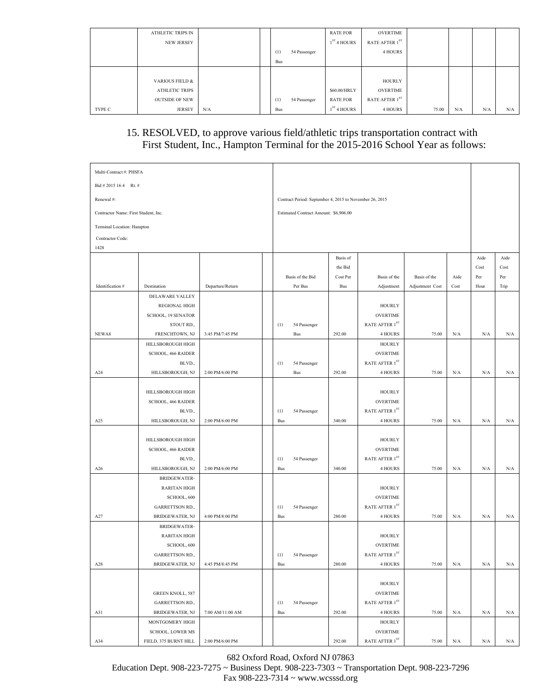|        | ATHLETIC TRIPS IN     |     |            |              | <b>RATE FOR</b> | OVERTIME            |       |     |     |     |
|--------|-----------------------|-----|------------|--------------|-----------------|---------------------|-------|-----|-----|-----|
|        | <b>NEW JERSEY</b>     |     |            |              | $1ST$ 4 HOURS   | RATE AFTER $1^{ST}$ |       |     |     |     |
|        |                       |     | (1)        | 54 Passenger |                 | 4 HOURS             |       |     |     |     |
|        |                       |     | <b>Bus</b> |              |                 |                     |       |     |     |     |
|        |                       |     |            |              |                 |                     |       |     |     |     |
|        | VARIOUS FIELD &       |     |            |              |                 | HOURLY              |       |     |     |     |
|        | <b>ATHLETIC TRIPS</b> |     |            |              | \$60.00/HRLY    | OVERTIME            |       |     |     |     |
|        | <b>OUTSIDE OF NEW</b> |     | (1)        | 54 Passenger | <b>RATE FOR</b> | RATE AFTER $1^{ST}$ |       |     |     |     |
| TYPE C | <b>JERSEY</b>         | N/A | <b>Bus</b> |              | $1ST$ 4 HOURS   | 4 HOURS             | 75.00 | N/A | N/A | N/A |

# 15. RESOLVED, to approve various field/athletic trips transportation contract with First Student, Inc., Hampton Terminal for the 2015-2016 School Year as follows:

| Multi-Contract #: PHSFA              |                         |                  |            |                                                         |            |                            |                 |           |           |      |
|--------------------------------------|-------------------------|------------------|------------|---------------------------------------------------------|------------|----------------------------|-----------------|-----------|-----------|------|
| Bid # 2015 16 4 Rt. #                |                         |                  |            |                                                         |            |                            |                 |           |           |      |
| Renewal#:                            |                         |                  |            | Contract Period: September 4, 2015 to November 26, 2015 |            |                            |                 |           |           |      |
| Contractor Name: First Student, Inc. |                         |                  |            | Estimated Contract Amount: \$6,906.00                   |            |                            |                 |           |           |      |
| Terminal Location: Hampton           |                         |                  |            |                                                         |            |                            |                 |           |           |      |
| Contractor Code:                     |                         |                  |            |                                                         |            |                            |                 |           |           |      |
| 1428                                 |                         |                  |            |                                                         |            |                            |                 |           |           |      |
|                                      |                         |                  |            |                                                         | Basis of   |                            |                 |           | Aide      | Aide |
|                                      |                         |                  |            |                                                         | the Bid    |                            |                 |           | Cost      | Cost |
|                                      |                         |                  |            | Basis of the Bid                                        | Cost Per   | Basis of the               | Basis of the    | Aide      | Per       | Per  |
| Identification #                     | Destination             | Departure/Return |            | Per Bus                                                 | <b>Bus</b> | Adjustment                 | Adjustment Cost | Cost      | Hour      | Trip |
|                                      | DELAWARE VALLEY         |                  |            |                                                         |            |                            |                 |           |           |      |
|                                      | <b>REGIONAL HIGH</b>    |                  |            |                                                         |            | <b>HOURLY</b>              |                 |           |           |      |
|                                      | SCHOOL, 19 SENATOR      |                  |            |                                                         |            | <b>OVERTIME</b>            |                 |           |           |      |
|                                      | STOUT RD.,              |                  | (1)        | 54 Passenger                                            |            | RATE AFTER 1ST             |                 |           |           |      |
| NEWA8                                | FRENCHTOWN, NJ          | 3:45 PM/7:45 PM  |            | <b>Bus</b>                                              | 292.00     | 4 HOURS                    | 75.00           | $\rm N/A$ | N/A       | N/A  |
|                                      | HILLSBOROUGH HIGH       |                  |            |                                                         |            | <b>HOURLY</b>              |                 |           |           |      |
|                                      | SCHOOL, 466 RAIDER      |                  |            |                                                         |            | <b>OVERTIME</b>            |                 |           |           |      |
|                                      | BLVD.,                  |                  | (1)        | 54 Passenger                                            |            | RATE AFTER $1^\mathrm{ST}$ |                 |           |           |      |
| A24                                  | HILLSBOROUGH, NJ        | 2:00 PM/6:00 PM  |            | <b>Bus</b>                                              | 292.00     | 4 HOURS                    | 75.00           | N/A       | N/A       | N/A  |
|                                      |                         |                  |            |                                                         |            |                            |                 |           |           |      |
|                                      | HILLSBOROUGH HIGH       |                  |            |                                                         |            | <b>HOURLY</b>              |                 |           |           |      |
|                                      | SCHOOL, 466 RAIDER      |                  |            |                                                         |            | <b>OVERTIME</b>            |                 |           |           |      |
|                                      | BLVD.,                  |                  | (1)        | 54 Passenger                                            |            | RATE AFTER $1^\mathrm{ST}$ |                 |           |           |      |
| A25                                  | HILLSBOROUGH, NJ        | 2:00 PM/6:00 PM  | Bus        |                                                         | 340.00     | 4 HOURS                    | 75.00           | N/A       | N/A       | N/A  |
|                                      |                         |                  |            |                                                         |            |                            |                 |           |           |      |
|                                      | HILLSBOROUGH HIGH       |                  |            |                                                         |            | <b>HOURLY</b>              |                 |           |           |      |
|                                      | SCHOOL, 466 RAIDER      |                  |            |                                                         |            | <b>OVERTIME</b>            |                 |           |           |      |
|                                      | BLVD.,                  |                  | (1)        | 54 Passenger                                            |            | RATE AFTER 1ST             |                 |           |           |      |
| A26                                  | HILLSBOROUGH, NJ        | 2:00 PM/6:00 PM  | <b>Bus</b> |                                                         | 340.00     | 4 HOURS                    | 75.00           | N/A       | N/A       | N/A  |
|                                      | <b>BRIDGEWATER-</b>     |                  |            |                                                         |            |                            |                 |           |           |      |
|                                      | <b>RARITAN HIGH</b>     |                  |            |                                                         |            | <b>HOURLY</b>              |                 |           |           |      |
|                                      | SCHOOL, 600             |                  |            |                                                         |            | <b>OVERTIME</b>            |                 |           |           |      |
|                                      | GARRETTSON RD.,         |                  | (1)        | 54 Passenger                                            |            | RATE AFTER $1^\mathrm{ST}$ |                 |           |           |      |
| A27                                  | BRIDGEWATER, NJ         | 4:00 PM/8:00 PM  | <b>Bus</b> |                                                         | 280.00     | 4 HOURS                    | 75.00           | N/A       | N/A       | N/A  |
|                                      | <b>BRIDGEWATER-</b>     |                  |            |                                                         |            |                            |                 |           |           |      |
|                                      | <b>RARITAN HIGH</b>     |                  |            |                                                         |            | <b>HOURLY</b>              |                 |           |           |      |
|                                      | SCHOOL, 600             |                  |            |                                                         |            | <b>OVERTIME</b>            |                 |           |           |      |
|                                      | <b>GARRETTSON RD.,</b>  |                  | (1)        | 54 Passenger                                            |            | RATE AFTER $1^\mathrm{ST}$ |                 |           |           |      |
| A28                                  | BRIDGEWATER, NJ         | 4:45 PM/8:45 PM  | Bus        |                                                         | 280.00     | 4 HOURS                    | 75.00           | $\rm N/A$ | N/A       | N/A  |
|                                      |                         |                  |            |                                                         |            |                            |                 |           |           |      |
|                                      |                         |                  |            |                                                         |            | <b>HOURLY</b>              |                 |           |           |      |
|                                      | GREEN KNOLL, 587        |                  |            |                                                         |            | <b>OVERTIME</b>            |                 |           |           |      |
|                                      | GARRETTSON RD.,         |                  | (1)        | 54 Passenger                                            |            | RATE AFTER 1ST             |                 |           |           |      |
| A31                                  | BRIDGEWATER, NJ         | 7:00 AM/11:00 AM | <b>Bus</b> |                                                         | 292.00     | 4 HOURS                    | 75.00           | N/A       | N/A       | N/A  |
|                                      | MONTGOMERY HIGH         |                  |            |                                                         |            | <b>HOURLY</b>              |                 |           |           |      |
|                                      | <b>SCHOOL, LOWER MS</b> |                  |            |                                                         |            | <b>OVERTIME</b>            |                 |           |           |      |
| A34                                  | FIELD, 375 BURNT HILL   | 2:00 PM/6:00 PM  |            |                                                         | 292.00     | RATE AFTER $1^\mathrm{ST}$ | 75.00           | N/A       | $\rm N/A$ | N/A  |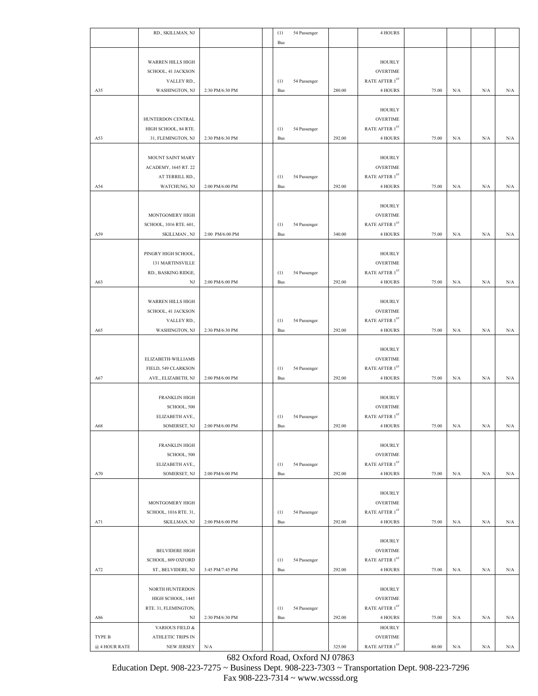|               | RD., SKILLMAN, NJ                         |                 | (1)        | 54 Passenger |        | 4 HOURS                                       |       |     |           |           |
|---------------|-------------------------------------------|-----------------|------------|--------------|--------|-----------------------------------------------|-------|-----|-----------|-----------|
|               |                                           |                 | Bus        |              |        |                                               |       |     |           |           |
|               | <b>WARREN HILLS HIGH</b>                  |                 |            |              |        | <b>HOURLY</b>                                 |       |     |           |           |
|               | SCHOOL, 41 JACKSON                        |                 |            |              |        | <b>OVERTIME</b>                               |       |     |           |           |
|               | VALLEY RD.,                               |                 | (1)        | 54 Passenger |        | RATE AFTER $1^\mathrm{ST}$                    |       |     |           |           |
| A35           | WASHINGTON, NJ                            | 2:30 PM/6:30 PM | Bus        |              | 280.00 | 4 HOURS                                       | 75.00 | N/A | N/A       | N/A       |
|               |                                           |                 |            |              |        |                                               |       |     |           |           |
|               |                                           |                 |            |              |        | <b>HOURLY</b>                                 |       |     |           |           |
|               | HUNTERDON CENTRAL                         |                 |            |              |        | <b>OVERTIME</b>                               |       |     |           |           |
|               | HIGH SCHOOL, 84 RTE.                      |                 | (1)        | 54 Passenger |        | RATE AFTER $1^\mathrm{ST}$                    |       |     |           |           |
| A53           | 31, FLEMINGTON, NJ                        | 2:30 PM/6:30 PM | Bus        |              | 292.00 | 4 HOURS                                       | 75.00 | N/A | N/A       | N/A       |
|               |                                           |                 |            |              |        |                                               |       |     |           |           |
|               | MOUNT SAINT MARY                          |                 |            |              |        | <b>HOURLY</b>                                 |       |     |           |           |
|               | ACADEMY, 1645 RT. 22                      |                 |            |              |        | <b>OVERTIME</b><br>RATE AFTER 1ST             |       |     |           |           |
| A54           | AT TERRILL RD.,<br>WATCHUNG, NJ           | 2:00 PM/6:00 PM | (1)<br>Bus | 54 Passenger | 292.00 | 4 HOURS                                       | 75.00 | N/A | N/A       | N/A       |
|               |                                           |                 |            |              |        |                                               |       |     |           |           |
|               |                                           |                 |            |              |        | <b>HOURLY</b>                                 |       |     |           |           |
|               | MONTGOMERY HIGH                           |                 |            |              |        | <b>OVERTIME</b>                               |       |     |           |           |
|               | SCHOOL, 1016 RTE. 601,                    |                 | (1)        | 54 Passenger |        | RATE AFTER $1^{\rm ST}$                       |       |     |           |           |
| A59           | SKILLMAN, NJ                              | 2:00 PM/6:00 PM | <b>Bus</b> |              | 340.00 | 4 HOURS                                       | 75.00 | N/A | N/A       | N/A       |
|               |                                           |                 |            |              |        |                                               |       |     |           |           |
|               | PINGRY HIGH SCHOOL,                       |                 |            |              |        | <b>HOURLY</b>                                 |       |     |           |           |
|               | <b>131 MARTINSVILLE</b>                   |                 |            |              |        | <b>OVERTIME</b>                               |       |     |           |           |
|               | RD., BASKING RIDGE,                       |                 | (1)        | 54 Passenger |        | RATE AFTER 1ST                                |       |     |           |           |
| A63           | NJ                                        | 2:00 PM/6:00 PM | Bus        |              | 292.00 | 4 HOURS                                       | 75.00 | N/A | N/A       | N/A       |
|               |                                           |                 |            |              |        |                                               |       |     |           |           |
|               | <b>WARREN HILLS HIGH</b>                  |                 |            |              |        | <b>HOURLY</b>                                 |       |     |           |           |
|               | SCHOOL, 41 JACKSON                        |                 |            |              |        | <b>OVERTIME</b>                               |       |     |           |           |
|               | VALLEY RD.,                               |                 | (1)        | 54 Passenger |        | RATE AFTER $1^\mathrm{ST}$                    |       |     |           |           |
| A65           | WASHINGTON, NJ                            | 2:30 PM/6:30 PM | <b>Bus</b> |              | 292.00 | 4 HOURS                                       | 75.00 | N/A | N/A       | N/A       |
|               |                                           |                 |            |              |        |                                               |       |     |           |           |
|               |                                           |                 |            |              |        | <b>HOURLY</b>                                 |       |     |           |           |
|               | ELIZABETH-WILLIAMS<br>FIELD, 549 CLARKSON |                 |            |              |        | <b>OVERTIME</b><br>RATE AFTER 1ST             |       |     |           |           |
| A67           | AVE., ELIZABETH, NJ                       | 2:00 PM/6:00 PM | (1)<br>Bus | 54 Passenger | 292.00 | 4 HOURS                                       | 75.00 | N/A | N/A       | N/A       |
|               |                                           |                 |            |              |        |                                               |       |     |           |           |
|               | FRANKLIN HIGH                             |                 |            |              |        | <b>HOURLY</b>                                 |       |     |           |           |
|               | SCHOOL, 500                               |                 |            |              |        | <b>OVERTIME</b>                               |       |     |           |           |
|               | ELIZABETH AVE.,                           |                 | (1)        | 54 Passenger |        | RATE AFTER 1ST                                |       |     |           |           |
| A68           | SOMERSET, NJ                              | 2:00 PM/6:00 PM | Bus        |              | 292.00 | 4 HOURS                                       | 75.00 | N/A | N/A       | N/A       |
|               |                                           |                 |            |              |        |                                               |       |     |           |           |
|               | <b>FRANKLIN HIGH</b>                      |                 |            |              |        | <b>HOURLY</b>                                 |       |     |           |           |
|               | SCHOOL, 500                               |                 |            |              |        | <b>OVERTIME</b>                               |       |     |           |           |
|               | ELIZABETH AVE.,                           |                 | (1)        | 54 Passenger |        | RATE AFTER 1ST                                |       |     |           |           |
| A70           | SOMERSET, NJ                              | 2:00 PM/6:00 PM | Bus        |              | 292.00 | 4 HOURS                                       | 75.00 | N/A | N/A       | N/A       |
|               |                                           |                 |            |              |        |                                               |       |     |           |           |
|               |                                           |                 |            |              |        | <b>HOURLY</b>                                 |       |     |           |           |
|               | MONTGOMERY HIGH                           |                 |            |              |        | <b>OVERTIME</b><br>RATE AFTER $1^\mathrm{ST}$ |       |     |           |           |
| A71           | SCHOOL, 1016 RTE. 31,<br>SKILLMAN, NJ     | 2:00 PM/6:00 PM | (1)<br>Bus | 54 Passenger | 292.00 | 4 HOURS                                       | 75.00 | N/A | N/A       | N/A       |
|               |                                           |                 |            |              |        |                                               |       |     |           |           |
|               |                                           |                 |            |              |        | <b>HOURLY</b>                                 |       |     |           |           |
|               | <b>BELVIDERE HIGH</b>                     |                 |            |              |        | <b>OVERTIME</b>                               |       |     |           |           |
|               | SCHOOL, 809 OXFORD                        |                 | (1)        | 54 Passenger |        | RATE AFTER 1ST                                |       |     |           |           |
| A72           | ST., BELVIDERE, NJ                        | 3:45 PM/7:45 PM | Bus        |              | 292.00 | 4 HOURS                                       | 75.00 | N/A | N/A       | N/A       |
|               |                                           |                 |            |              |        |                                               |       |     |           |           |
|               | NORTH HUNTERDON                           |                 |            |              |        | <b>HOURLY</b>                                 |       |     |           |           |
|               | HIGH SCHOOL, 1445                         |                 |            |              |        | <b>OVERTIME</b>                               |       |     |           |           |
|               | RTE. 31, FLEMINGTON,                      |                 | (1)        | 54 Passenger |        | RATE AFTER $1^\mathrm{ST}$                    |       |     |           |           |
| A86           | NJ                                        | 2:30 PM/6:30 PM | Bus        |              | 292.00 | 4 HOURS                                       | 75.00 | N/A | $\rm N/A$ | N/A       |
|               | VARIOUS FIELD &                           |                 |            |              |        | <b>HOURLY</b>                                 |       |     |           |           |
| TYPE B        | ATHLETIC TRIPS IN                         |                 |            |              |        | <b>OVERTIME</b>                               |       |     |           |           |
| @ 4 HOUR RATE | <b>NEW JERSEY</b>                         | N/A             |            |              | 325.00 | RATE AFTER $1^{\rm ST}$                       | 80.00 | N/A | N/A       | $\rm N/A$ |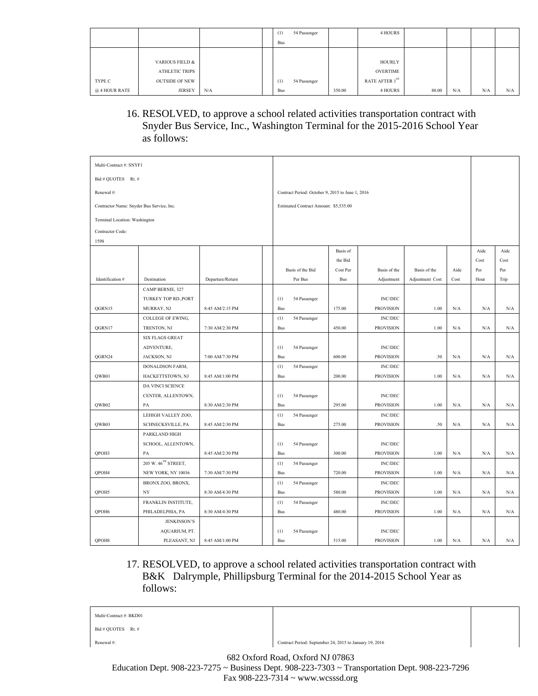|               |                       |     | (1)        | 54 Passenger |        | 4 HOURS         |       |     |     |     |
|---------------|-----------------------|-----|------------|--------------|--------|-----------------|-------|-----|-----|-----|
|               |                       |     | <b>Bus</b> |              |        |                 |       |     |     |     |
|               |                       |     |            |              |        |                 |       |     |     |     |
|               | VARIOUS FIELD &       |     |            |              |        | <b>HOURLY</b>   |       |     |     |     |
|               | ATHLETIC TRIPS        |     |            |              |        | <b>OVERTIME</b> |       |     |     |     |
| TYPE C        | <b>OUTSIDE OF NEW</b> |     | (1)        | 54 Passenger |        | RATE AFTER 1ST  |       |     |     |     |
| @ 4 HOUR RATE | <b>JERSEY</b>         | N/A | <b>Bus</b> |              | 350.00 | 4 HOURS         | 80.00 | N/A | N/A | N/A |

## 16. RESOLVED, to approve a school related activities transportation contract with Snyder Bus Service, Inc., Washington Terminal for the 2015-2016 School Year as follows:

| Multi-Contract #: SNYF1                   |                                 |                  |            |                                                  |            |                  |                 |           |      |      |
|-------------------------------------------|---------------------------------|------------------|------------|--------------------------------------------------|------------|------------------|-----------------|-----------|------|------|
| Bid # OUOTES Rt. #                        |                                 |                  |            |                                                  |            |                  |                 |           |      |      |
| Renewal #:                                |                                 |                  |            | Contract Period: October 9, 2015 to June 1, 2016 |            |                  |                 |           |      |      |
| Contractor Name: Snyder Bus Service, Inc. |                                 |                  |            | Estimated Contract Amount: \$5,535.00            |            |                  |                 |           |      |      |
| Terminal Location: Washington             |                                 |                  |            |                                                  |            |                  |                 |           |      |      |
| Contractor Code:                          |                                 |                  |            |                                                  |            |                  |                 |           |      |      |
| 1598                                      |                                 |                  |            |                                                  |            |                  |                 |           |      |      |
|                                           |                                 |                  |            |                                                  | Basis of   |                  |                 |           | Aide | Aide |
|                                           |                                 |                  |            |                                                  | the Bid    |                  |                 |           | Cost | Cost |
|                                           |                                 |                  |            | Basis of the Bid                                 | Cost Per   | Basis of the     | Basis of the    | Aide      | Per  | Per  |
| Identification #                          | Destination                     | Departure/Return |            | Per Bus                                          | <b>Bus</b> | Adjustment       | Adjustment Cost | Cost      | Hour | Trip |
|                                           | CAMP BERNIE, 327                |                  |            |                                                  |            |                  |                 |           |      |      |
|                                           | TURKEY TOP RD., PORT            |                  | (1)        | 54 Passenger                                     |            | <b>INC/DEC</b>   |                 |           |      |      |
| QGRN15                                    | MURRAY, NJ                      | 8:45 AM/2:15 PM  | Bus        |                                                  | 175.00     | <b>PROVISION</b> | 1.00            | N/A       | N/A  | N/A  |
|                                           | COLLEGE OF EWING,               |                  | (1)        | 54 Passenger                                     |            | <b>INC/DEC</b>   |                 |           |      |      |
| QGRN17                                    | TRENTON, NJ                     | 7:30 AM/2:30 PM  | <b>Bus</b> |                                                  | 450.00     | <b>PROVISION</b> | 1.00            | N/A       | N/A  | N/A  |
|                                           | <b>SIX FLAGS GREAT</b>          |                  |            |                                                  |            |                  |                 |           |      |      |
|                                           | ADVENTURE,                      |                  | (1)        | 54 Passenger                                     |            | <b>INC/DEC</b>   |                 |           |      |      |
| QGRN24                                    | JACKSON, NJ                     | 7:00 AM/7:30 PM  | <b>Bus</b> |                                                  | 600.00     | <b>PROVISION</b> | .50             | N/A       | N/A  | N/A  |
|                                           | DONALDSON FARM,                 |                  | (1)        | 54 Passenger                                     |            | <b>INC/DEC</b>   |                 |           |      |      |
| QWB01                                     | HACKETTSTOWN, NJ                | 8:45 AM/1:00 PM  | Bus        |                                                  | 200.00     | <b>PROVISION</b> | 1.00            | $\rm N/A$ | N/A  | N/A  |
|                                           | DA VINCI SCIENCE                |                  |            |                                                  |            |                  |                 |           |      |      |
|                                           | CENTER, ALLENTOWN,              |                  | (1)        | 54 Passenger                                     |            | <b>INC/DEC</b>   |                 |           |      |      |
| QWB02                                     | PA                              | 8:30 AM/2:30 PM  | Bus        |                                                  | 295.00     | <b>PROVISION</b> | 1.00            | $\rm N/A$ | N/A  | N/A  |
|                                           | LEHIGH VALLEY ZOO,              |                  | (1)        | 54 Passenger                                     |            | <b>INC/DEC</b>   |                 |           |      |      |
| QWB03                                     | SCHNECKSVILLE, PA               | 8:45 AM/2:30 PM  | Bus        |                                                  | 275.00     | <b>PROVISION</b> | .50             | $\rm N/A$ | N/A  | N/A  |
|                                           | PARKLAND HIGH                   |                  |            |                                                  |            |                  |                 |           |      |      |
|                                           | SCHOOL, ALLENTOWN,              |                  | (1)        | 54 Passenger                                     |            | <b>INC/DEC</b>   |                 |           |      |      |
| QPOH3                                     | PA                              | 8:45 AM/2:30 PM  | Bus        |                                                  | 300.00     | <b>PROVISION</b> | 1.00            | N/A       | N/A  | N/A  |
|                                           | 205 W. 46 <sup>TH</sup> STREET, |                  | (1)        | 54 Passenger                                     |            | <b>INC/DEC</b>   |                 |           |      |      |
| QPOH4                                     | NEW YORK, NY 10036              | 7:30 AM/7:30 PM  | <b>Bus</b> |                                                  | 720.00     | <b>PROVISION</b> | 1.00            | N/A       | N/A  | N/A  |
|                                           | BRONX ZOO, BRONX,               |                  | (1)        | 54 Passenger                                     |            | <b>INC/DEC</b>   |                 |           |      |      |
| OPOH5                                     | NY                              | 8:30 AM/4:30 PM  | <b>Bus</b> |                                                  | 580.00     | <b>PROVISION</b> | 1.00            | N/A       | N/A  | N/A  |
|                                           | FRANKLIN INSTITUTE,             |                  | (1)        | 54 Passenger                                     |            | <b>INC/DEC</b>   |                 |           |      |      |
| QPOH6                                     | PHILADELPHIA, PA                | 8:30 AM/4:30 PM  | Bus        |                                                  | 480.00     | <b>PROVISION</b> | 1.00            | $\rm N/A$ | N/A  | N/A  |
|                                           | <b>JENKINSON'S</b>              |                  |            |                                                  |            |                  |                 |           |      |      |
|                                           | AQUARIUM, PT.                   |                  | (1)        | 54 Passenger                                     |            | <b>INC/DEC</b>   |                 |           |      |      |
| QPOH8                                     | PLEASANT, NJ                    | 8:45 AM/1:00 PM  | Bus        |                                                  | 515.00     | <b>PROVISION</b> | 1.00            | N/A       | N/A  | N/A  |

### 17. RESOLVED, to approve a school related activities transportation contract with B&K Dalrymple, Phillipsburg Terminal for the 2014-2015 School Year as follows:

| Multi-Contract #: BKD01 |                                                                                                                                                |  |
|-------------------------|------------------------------------------------------------------------------------------------------------------------------------------------|--|
| Bid # OUOTES Rt. #      |                                                                                                                                                |  |
| Renewal #:              | Contract Period: September 24, 2015 to January 19, 2016                                                                                        |  |
|                         | 682 Oxford Road, Oxford NJ 07863<br>Education Dept. $908-223-7275 \sim$ Business Dept. $908-223-7303 \sim$ Transportation Dept. $908-223-7296$ |  |

Fax 908-223-7314 ~ www.wcsssd.org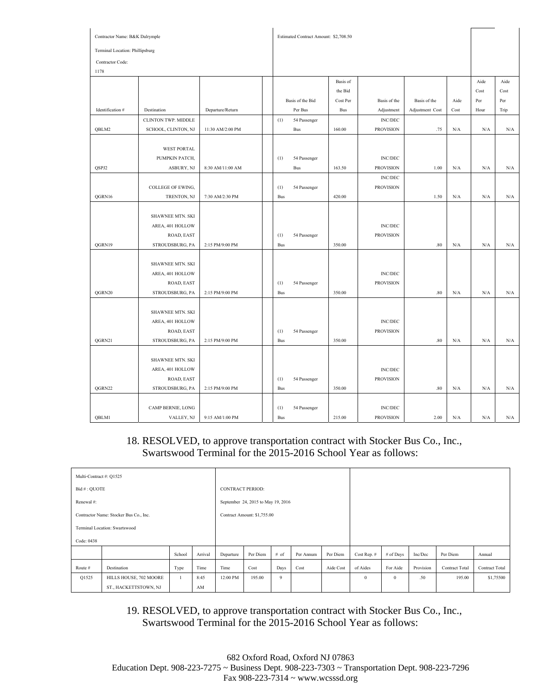| Contractor Name: B&K Dalrymple  |                                |                  | Estimated Contract Amount: \$2,708.50 |                  |            |                  |                 |      |      |      |
|---------------------------------|--------------------------------|------------------|---------------------------------------|------------------|------------|------------------|-----------------|------|------|------|
| Terminal Location: Phillipsburg |                                |                  |                                       |                  |            |                  |                 |      |      |      |
| Contractor Code:                |                                |                  |                                       |                  |            |                  |                 |      |      |      |
| 1178                            |                                |                  |                                       |                  |            |                  |                 |      |      |      |
|                                 |                                |                  |                                       |                  | Basis of   |                  |                 |      | Aide | Aide |
|                                 |                                |                  |                                       |                  | the Bid    |                  |                 |      | Cost | Cost |
|                                 |                                |                  |                                       | Basis of the Bid | Cost Per   | Basis of the     | Basis of the    | Aide | Per  | Per  |
| Identification #                | Destination                    | Departure/Return |                                       | Per Bus          | <b>Bus</b> | Adjustment       | Adjustment Cost | Cost | Hour | Trip |
|                                 | CLINTON TWP. MIDDLE            |                  | (1)                                   | 54 Passenger     |            | <b>INC/DEC</b>   |                 |      |      |      |
| QBLM2                           | SCHOOL, CLINTON, NJ            | 11:30 AM/2:00 PM |                                       | Bus              | 160.00     | <b>PROVISION</b> | .75             | N/A  | N/A  | N/A  |
|                                 |                                |                  |                                       |                  |            |                  |                 |      |      |      |
|                                 | <b>WEST PORTAL</b>             |                  |                                       |                  |            |                  |                 |      |      |      |
|                                 | PUMPKIN PATCH,                 |                  | (1)                                   | 54 Passenger     |            | <b>INC/DEC</b>   |                 |      |      |      |
| QSPJ2                           | ASBURY, NJ                     | 8:30 AM/11:00 AM |                                       | Bus              | 163.50     | <b>PROVISION</b> | 1.00            | N/A  | N/A  | N/A  |
|                                 |                                |                  |                                       |                  |            | $\text{INC/DEC}$ |                 |      |      |      |
|                                 | COLLEGE OF EWING,              |                  | (1)                                   | 54 Passenger     |            | <b>PROVISION</b> |                 |      |      |      |
| QGRN16                          | TRENTON, NJ                    | 7:30 AM/2:30 PM  | <b>Bus</b>                            |                  | 420.00     |                  | 1.50            | N/A  | N/A  | N/A  |
|                                 |                                |                  |                                       |                  |            |                  |                 |      |      |      |
|                                 | <b>SHAWNEE MTN. SKI</b>        |                  |                                       |                  |            |                  |                 |      |      |      |
|                                 | AREA, 401 HOLLOW               |                  |                                       |                  |            | $\text{INC/DEC}$ |                 |      |      |      |
|                                 | ROAD, EAST                     |                  | (1)                                   | 54 Passenger     |            | <b>PROVISION</b> |                 |      |      |      |
| QGRN19                          | STROUDSBURG, PA                | 2:15 PM/9:00 PM  | Bus                                   |                  | 350.00     |                  | $.80\,$         | N/A  | N/A  | N/A  |
|                                 |                                |                  |                                       |                  |            |                  |                 |      |      |      |
|                                 | <b>SHAWNEE MTN. SKI</b>        |                  |                                       |                  |            | $\rm INC/DEC$    |                 |      |      |      |
|                                 | AREA, 401 HOLLOW<br>ROAD, EAST |                  | (1)                                   | 54 Passenger     |            | <b>PROVISION</b> |                 |      |      |      |
| QGRN20                          | STROUDSBURG, PA                | 2:15 PM/9:00 PM  | <b>Bus</b>                            |                  | 350.00     |                  | $.80\,$         | N/A  | N/A  | N/A  |
|                                 |                                |                  |                                       |                  |            |                  |                 |      |      |      |
|                                 | <b>SHAWNEE MTN. SKI</b>        |                  |                                       |                  |            |                  |                 |      |      |      |
|                                 | AREA, 401 HOLLOW               |                  |                                       |                  |            | $\text{INC/DEC}$ |                 |      |      |      |
|                                 | ROAD, EAST                     |                  | (1)                                   | 54 Passenger     |            | <b>PROVISION</b> |                 |      |      |      |
| QGRN21                          | STROUDSBURG, PA                | 2:15 PM/9:00 PM  | Bus                                   |                  | 350.00     |                  | $.80\,$         | N/A  | N/A  | N/A  |
|                                 |                                |                  |                                       |                  |            |                  |                 |      |      |      |
|                                 | SHAWNEE MTN. SKI               |                  |                                       |                  |            |                  |                 |      |      |      |
|                                 | AREA, 401 HOLLOW               |                  |                                       |                  |            | <b>INC/DEC</b>   |                 |      |      |      |
|                                 | ROAD, EAST                     |                  | (1)                                   | 54 Passenger     |            | <b>PROVISION</b> |                 |      |      |      |
| QGRN22                          | STROUDSBURG, PA                | 2:15 PM/9:00 PM  | <b>Bus</b>                            |                  | 350.00     |                  | .80             | N/A  | N/A  | N/A  |
|                                 |                                |                  |                                       |                  |            |                  |                 |      |      |      |
|                                 | CAMP BERNIE, LONG              |                  | (1)                                   | 54 Passenger     |            | <b>INC/DEC</b>   |                 |      |      |      |
| QBLM1                           | VALLEY, NJ                     | 9:15 AM/1:00 PM  | <b>Bus</b>                            |                  | 215.00     | <b>PROVISION</b> | 2.00            | N/A  | N/A  | N/A  |

#### 18. RESOLVED, to approve transportation contract with Stocker Bus Co., Inc., Swartswood Terminal for the 2015-2016 School Year as follows:

|                                        | Multi-Contract #: Q1525     |        |         |                         |                                    |                |           |           |             |             |           |                       |                |
|----------------------------------------|-----------------------------|--------|---------|-------------------------|------------------------------------|----------------|-----------|-----------|-------------|-------------|-----------|-----------------------|----------------|
| Bid #: OUOTE                           |                             |        |         | <b>CONTRACT PERIOD:</b> |                                    |                |           |           |             |             |           |                       |                |
| Renewal #:                             |                             |        |         |                         | September 24, 2015 to May 19, 2016 |                |           |           |             |             |           |                       |                |
| Contractor Name: Stocker Bus Co., Inc. |                             |        |         |                         | Contract Amount: \$1,755.00        |                |           |           |             |             |           |                       |                |
| Terminal Location: Swartswood          |                             |        |         |                         |                                    |                |           |           |             |             |           |                       |                |
| Code: 0438                             |                             |        |         |                         |                                    |                |           |           |             |             |           |                       |                |
|                                        |                             | School | Arrival | Departure               | Per Diem                           | # of           | Per Annum | Per Diem  | Cost Rep. # | $#$ of Days | Inc/Dec   | Per Diem              | Annual         |
| Route #                                | Time<br>Destination<br>Type |        |         |                         | Cost                               | Days           | Cost      | Aide Cost | of Aides    | For Aide    | Provision | <b>Contract Total</b> | Contract Total |
| Q1525                                  | HILLS HOUSE, 702 MOORE      |        | 8:45    | 12:00 PM                | 195.00                             | $\overline{9}$ |           |           | $\theta$    | $\theta$    | .50       | 195.00                | \$1,75500      |
| ST., HACKETTSTOWN, NJ<br>AM            |                             |        |         |                         |                                    |                |           |           |             |             |           |                       |                |

19. RESOLVED, to approve transportation contract with Stocker Bus Co., Inc., Swartswood Terminal for the 2015-2016 School Year as follows: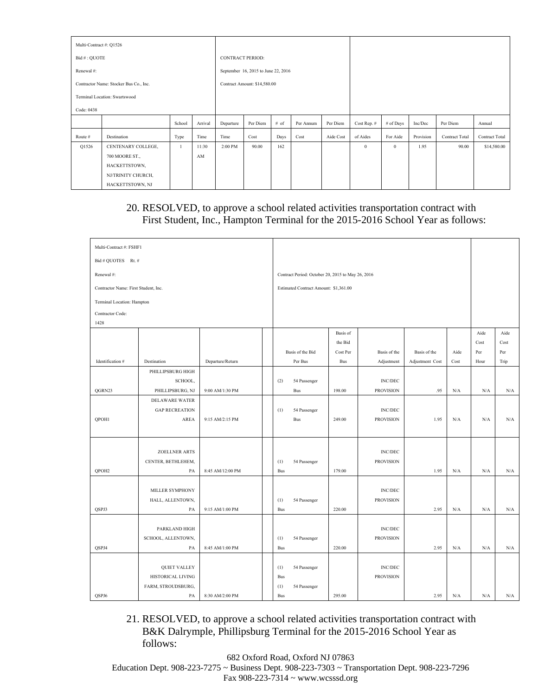| Multi-Contract #: Q1526 |                                        |                |           |                         |                                     |           |          |             |           |          |           |                       |                |  |
|-------------------------|----------------------------------------|----------------|-----------|-------------------------|-------------------------------------|-----------|----------|-------------|-----------|----------|-----------|-----------------------|----------------|--|
| Bid #: QUOTE            |                                        |                |           | <b>CONTRACT PERIOD:</b> |                                     |           |          |             |           |          |           |                       |                |  |
| Renewal #:              |                                        |                |           |                         | September 16, 2015 to June 22, 2016 |           |          |             |           |          |           |                       |                |  |
|                         | Contractor Name: Stocker Bus Co., Inc. |                |           |                         | Contract Amount: \$14,580.00        |           |          |             |           |          |           |                       |                |  |
|                         | Terminal Location: Swartswood          |                |           |                         |                                     |           |          |             |           |          |           |                       |                |  |
| Code: 0438              |                                        |                |           |                         |                                     |           |          |             |           |          |           |                       |                |  |
|                         |                                        | Arrival        | Departure | Per Diem                | # of                                | Per Annum | Per Diem | Cost Rep. # | # of Days | Inc/Dec  | Per Diem  | Annual                |                |  |
| Route #                 | Destination                            | Type           | Time      | Time                    | Cost                                | Days      | Cost     | Aide Cost   | of Aides  | For Aide | Provision | <b>Contract Total</b> | Contract Total |  |
| Q1526                   | CENTENARY COLLEGE,                     | $\overline{1}$ | 11:30     | 2:00 PM                 | 90.00                               | 162       |          |             | $\theta$  | $\theta$ | 1.95      | 90.00                 | \$14,580.00    |  |
|                         | 700 MOORE ST.,                         |                | AM        |                         |                                     |           |          |             |           |          |           |                       |                |  |
|                         | HACKETTSTOWN,                          |                |           |                         |                                     |           |          |             |           |          |           |                       |                |  |
|                         | NJ/TRINITY CHURCH,                     |                |           |                         |                                     |           |          |             |           |          |           |                       |                |  |
|                         | HACKETTSTOWN, NJ                       |                |           |                         |                                     |           |          |             |           |          |           |                       |                |  |

# 20. RESOLVED, to approve a school related activities transportation contract with First Student, Inc., Hampton Terminal for the 2015-2016 School Year as follows:

| Multi-Contract #: FSHF1              |                       |                  |            |                                                   |            |                                    |                 |           |           |                                                 |  |
|--------------------------------------|-----------------------|------------------|------------|---------------------------------------------------|------------|------------------------------------|-----------------|-----------|-----------|-------------------------------------------------|--|
| Bid # QUOTES Rt. #                   |                       |                  |            |                                                   |            |                                    |                 |           |           |                                                 |  |
| Renewal#:                            |                       |                  |            | Contract Period: October 20, 2015 to May 26, 2016 |            |                                    |                 |           |           |                                                 |  |
| Contractor Name: First Student, Inc. |                       |                  |            | Estimated Contract Amount: \$1,361.00             |            |                                    |                 |           |           |                                                 |  |
| Terminal Location: Hampton           |                       |                  |            |                                                   |            |                                    |                 |           |           |                                                 |  |
| Contractor Code:                     |                       |                  |            |                                                   |            |                                    |                 |           |           |                                                 |  |
| 1428                                 |                       |                  |            |                                                   |            |                                    |                 |           |           |                                                 |  |
|                                      |                       |                  |            |                                                   | Basis of   |                                    |                 |           | Aide      | Aide                                            |  |
|                                      |                       |                  |            |                                                   | the Bid    |                                    |                 |           | Cost      | Cost                                            |  |
|                                      |                       |                  |            | Basis of the Bid                                  | Cost Per   | Basis of the                       | Basis of the    | Aide      | Per       | $\ensuremath{\mathop{\text{\rm Per}}\nolimits}$ |  |
| Identification #                     | Destination           | Departure/Return |            | Per Bus                                           | <b>Bus</b> | Adjustment                         | Adjustment Cost | Cost      | Hour      | Trip                                            |  |
|                                      | PHILLIPSBURG HIGH     |                  |            |                                                   |            |                                    |                 |           |           |                                                 |  |
|                                      | SCHOOL,               |                  | (2)        | 54 Passenger                                      |            | $\text{INC/DEC}$                   |                 |           |           |                                                 |  |
| QGRN23                               | PHILLIPSBURG, NJ      | 9:00 AM/1:30 PM  |            | <b>Bus</b>                                        | 198.00     | <b>PROVISION</b>                   | .95             | N/A       | N/A       | N/A                                             |  |
|                                      | <b>DELAWARE WATER</b> |                  |            |                                                   |            |                                    |                 |           |           |                                                 |  |
|                                      | <b>GAP RECREATION</b> |                  | (1)        | 54 Passenger                                      |            | <b>INC/DEC</b>                     |                 |           |           |                                                 |  |
| QPOH1                                | AREA                  | 9:15 AM/2:15 PM  |            | <b>Bus</b>                                        | 249.00     | <b>PROVISION</b>                   | 1.95            | N/A       | N/A       | N/A                                             |  |
|                                      |                       |                  |            |                                                   |            |                                    |                 |           |           |                                                 |  |
|                                      |                       |                  |            |                                                   |            |                                    |                 |           |           |                                                 |  |
|                                      | <b>ZOELLNER ARTS</b>  |                  |            |                                                   |            | <b>INC/DEC</b>                     |                 |           |           |                                                 |  |
|                                      | CENTER, BETHLEHEM,    |                  | (1)        | 54 Passenger                                      |            | <b>PROVISION</b>                   |                 |           |           |                                                 |  |
| OPOH <sub>2</sub>                    | PA                    | 8:45 AM/12:00 PM | Bus        |                                                   | 179.00     |                                    | 1.95            | N/A       | N/A       | N/A                                             |  |
|                                      |                       |                  |            |                                                   |            |                                    |                 |           |           |                                                 |  |
|                                      | MILLER SYMPHONY       |                  |            |                                                   |            | <b>INC/DEC</b>                     |                 |           |           |                                                 |  |
|                                      | HALL, ALLENTOWN,      |                  | (1)        | 54 Passenger                                      |            | <b>PROVISION</b>                   |                 |           |           |                                                 |  |
| QSPJ3                                | PA                    | 9:15 AM/1:00 PM  | <b>Bus</b> |                                                   | 220.00     |                                    | 2.95            | N/A       | N/A       | N/A                                             |  |
|                                      |                       |                  |            |                                                   |            |                                    |                 |           |           |                                                 |  |
|                                      | PARKLAND HIGH         |                  |            |                                                   |            | <b>INC/DEC</b><br><b>PROVISION</b> |                 |           |           |                                                 |  |
| QSPJ4                                | SCHOOL, ALLENTOWN,    |                  | (1)        | 54 Passenger                                      | 220.00     |                                    | 2.95            | $\rm N/A$ | $\rm N/A$ |                                                 |  |
|                                      | PA                    | 8:45 AM/1:00 PM  | Bus        |                                                   |            |                                    |                 |           |           | N/A                                             |  |
|                                      | <b>QUIET VALLEY</b>   |                  | (1)        | 54 Passenger                                      |            | <b>INC/DEC</b>                     |                 |           |           |                                                 |  |
|                                      | HISTORICAL LIVING     |                  | Bus        |                                                   |            | <b>PROVISION</b>                   |                 |           |           |                                                 |  |
|                                      | FARM, STROUDSBURG,    |                  | (1)        | 54 Passenger                                      |            |                                    |                 |           |           |                                                 |  |
| QSPJ6                                | PA                    | 8:30 AM/2:00 PM  | <b>Bus</b> |                                                   | 295.00     |                                    | 2.95            | N/A       | N/A       | N/A                                             |  |

21. RESOLVED, to approve a school related activities transportation contract with B&K Dalrymple, Phillipsburg Terminal for the 2015-2016 School Year as follows:

682 Oxford Road, Oxford NJ 07863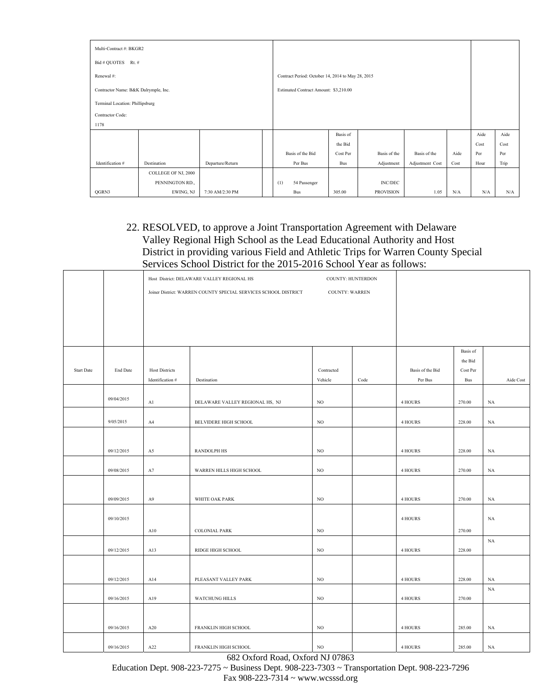| Multi-Contract #: BKGR2              |                     |                  |  |                                                   |            |                  |                 |             |      |      |
|--------------------------------------|---------------------|------------------|--|---------------------------------------------------|------------|------------------|-----------------|-------------|------|------|
| Bid # QUOTES<br>Rt. #                |                     |                  |  |                                                   |            |                  |                 |             |      |      |
| Renewal #:                           |                     |                  |  | Contract Period: October 14, 2014 to May 28, 2015 |            |                  |                 |             |      |      |
| Contractor Name: B&K Dalrymple, Inc. |                     |                  |  | Estimated Contract Amount: \$3,210.00             |            |                  |                 |             |      |      |
| Terminal Location: Phillipsburg      |                     |                  |  |                                                   |            |                  |                 |             |      |      |
| Contractor Code:                     |                     |                  |  |                                                   |            |                  |                 |             |      |      |
| 1178                                 |                     |                  |  |                                                   |            |                  |                 |             |      |      |
|                                      |                     |                  |  |                                                   | Basis of   |                  |                 |             | Aide | Aide |
|                                      |                     |                  |  |                                                   | the Bid    |                  |                 |             | Cost | Cost |
|                                      |                     |                  |  | Basis of the Bid                                  | Cost Per   | Basis of the     | Basis of the    | Aide        | Per  | Per  |
| Identification #                     | Destination         | Departure/Return |  | Per Bus                                           | <b>Bus</b> | Adjustment       | Adjustment Cost | Cost        | Hour | Trip |
|                                      | COLLEGE OF NJ, 2000 |                  |  |                                                   |            |                  |                 |             |      |      |
|                                      | PENNINGTON RD.,     |                  |  | (1)<br>54 Passenger                               |            | <b>INC/DEC</b>   |                 |             |      |      |
| QGRN3                                | EWING, NJ           | 7:30 AM/2:30 PM  |  | Bus                                               | 305.00     | <b>PROVISION</b> | 1.05            | ${\rm N/A}$ | N/A  | N/A  |

#### 22. RESOLVED, to approve a Joint Transportation Agreement with Delaware Valley Regional High School as the Lead Educational Authority and Host District in providing various Field and Athletic Trips for Warren County Special Services School District for the 2015-2016 School Year as follows:

|                   |            |                       | Host District: DELAWARE VALLEY REGIONAL HS                      |                       | COUNTY: HUNTERDON |                          |                     |                   |
|-------------------|------------|-----------------------|-----------------------------------------------------------------|-----------------------|-------------------|--------------------------|---------------------|-------------------|
|                   |            |                       | Joiner District: WARREN COUNTY SPECIAL SERVICES SCHOOL DISTRICT | <b>COUNTY: WARREN</b> |                   |                          |                     |                   |
|                   |            |                       |                                                                 |                       |                   |                          |                     |                   |
|                   |            |                       |                                                                 |                       |                   |                          |                     |                   |
|                   |            |                       |                                                                 |                       |                   |                          |                     |                   |
|                   |            |                       |                                                                 |                       |                   |                          |                     |                   |
|                   |            |                       |                                                                 |                       |                   |                          | Basis of            |                   |
| <b>Start Date</b> | End Date   | <b>Host Districts</b> |                                                                 | Contracted            |                   | Basis of the Bid         | the Bid<br>Cost Per |                   |
|                   |            | Identification #      | Destination                                                     | Vehicle               | Code              | $\mbox{Per } \mbox{Bus}$ | <b>Bus</b>          | Aide Cost         |
|                   |            |                       |                                                                 |                       |                   |                          |                     |                   |
|                   | 09/04/2015 | A1                    | DELAWARE VALLEY REGIONAL HS, NJ                                 | $_{\rm NO}$           |                   | 4 HOURS                  | 270.00              | $_{\rm NA}$       |
|                   |            |                       |                                                                 |                       |                   |                          |                     |                   |
|                   | 9/05/2015  | A4                    | BELVIDERE HIGH SCHOOL                                           | NO                    |                   | 4 HOURS                  | 228.00              | NA                |
|                   |            |                       |                                                                 |                       |                   |                          |                     |                   |
|                   | 09/12/2015 | A5                    | <b>RANDOLPH HS</b>                                              | $_{\rm NO}$           |                   | 4 HOURS                  | 228.00              | $_{\rm NA}$       |
|                   |            |                       |                                                                 |                       |                   |                          |                     |                   |
|                   | 09/08/2015 | A7                    | WARREN HILLS HIGH SCHOOL                                        | $_{\rm NO}$           |                   | 4 HOURS                  | 270.00              | $_{\rm NA}$       |
|                   |            |                       |                                                                 |                       |                   |                          |                     |                   |
|                   | 09/09/2015 | A9                    | WHITE OAK PARK                                                  | $_{\rm NO}$           |                   | 4 HOURS                  | 270.00              | $_{\rm NA}$       |
|                   |            |                       |                                                                 |                       |                   |                          |                     |                   |
|                   | 09/10/2015 |                       |                                                                 |                       |                   | 4 HOURS                  |                     | NA                |
|                   |            | A10                   | <b>COLONIAL PARK</b>                                            | NO                    |                   |                          | 270.00              | $_{\rm NA}$       |
|                   | 09/12/2015 | A13                   | RIDGE HIGH SCHOOL                                               | NO.                   |                   | 4 HOURS                  | 228.00              |                   |
|                   |            |                       |                                                                 |                       |                   |                          |                     |                   |
|                   | 09/12/2015 |                       |                                                                 | NO                    |                   | 4 HOURS                  | 228.00              |                   |
|                   |            | A14                   | PLEASANT VALLEY PARK                                            |                       |                   |                          |                     | NA<br>$_{\rm NA}$ |
|                   | 09/16/2015 | A19                   | WATCHUNG HILLS                                                  | $_{\rm NO}$           |                   | 4 HOURS                  | 270.00              |                   |
|                   |            |                       |                                                                 |                       |                   |                          |                     |                   |
|                   | 09/16/2015 | A20                   | FRANKLIN HIGH SCHOOL                                            | NO                    |                   | 4 HOURS                  | 285.00              | NA                |
|                   |            |                       |                                                                 |                       |                   |                          |                     |                   |
|                   | 09/16/2015 | A22                   | FRANKLIN HIGH SCHOOL                                            | NO                    |                   | 4 HOURS                  | 285.00              | NA                |

682 Oxford Road, Oxford NJ 07863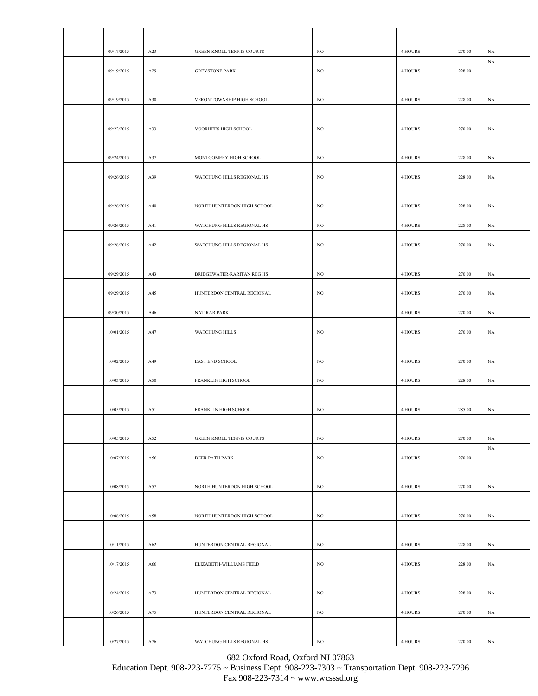| 09/17/2015 | A23 | GREEN KNOLL TENNIS COURTS        | NO          | 4 HOURS | 270.00 | NA          |
|------------|-----|----------------------------------|-------------|---------|--------|-------------|
|            |     |                                  |             |         |        | NA          |
| 09/19/2015 | A29 | <b>GREYSTONE PARK</b>            | NO          | 4 HOURS | 228.00 |             |
| 09/19/2015 | A30 | VERON TOWNSHIP HIGH SCHOOL       | $_{\rm NO}$ | 4 HOURS | 228.00 |             |
|            |     |                                  |             |         |        | NA          |
| 09/22/2015 | A33 | VOORHEES HIGH SCHOOL             | NO          | 4 HOURS | 270.00 | NA          |
|            |     |                                  |             |         |        |             |
| 09/24/2015 | A37 | MONTGOMERY HIGH SCHOOL           | $_{\rm NO}$ | 4 HOURS | 228.00 | NA          |
|            |     |                                  |             |         |        |             |
| 09/26/2015 | A39 | WATCHUNG HILLS REGIONAL HS       | $_{\rm NO}$ | 4 HOURS | 228.00 | NA          |
|            |     |                                  |             |         |        |             |
| 09/26/2015 | A40 | NORTH HUNTERDON HIGH SCHOOL      | $_{\rm NO}$ | 4 HOURS | 228.00 | NA          |
| 09/26/2015 | A41 | WATCHUNG HILLS REGIONAL HS       | NO          | 4 HOURS | 228.00 | NA          |
| 09/28/2015 | A42 | WATCHUNG HILLS REGIONAL HS       | NO          | 4 HOURS | 270.00 | NA          |
|            |     |                                  |             |         |        |             |
| 09/29/2015 | A43 | BRIDGEWATER-RARITAN REG HS       | $_{\rm NO}$ | 4 HOURS | 270.00 | NA          |
|            |     |                                  |             |         |        |             |
| 09/29/2015 | A45 | HUNTERDON CENTRAL REGIONAL       | $_{\rm NO}$ | 4 HOURS | 270.00 | NA          |
| 09/30/2015 | A46 | <b>NATIRAR PARK</b>              |             | 4 HOURS | 270.00 | NA          |
| 10/01/2015 | A47 | <b>WATCHUNG HILLS</b>            | NO          | 4 HOURS | 270.00 | NA          |
|            |     |                                  |             |         |        |             |
| 10/02/2015 | A49 | EAST END SCHOOL                  | NO          | 4 HOURS | 270.00 | NA          |
| 10/03/2015 | A50 | FRANKLIN HIGH SCHOOL             | NO          | 4 HOURS | 228.00 | NA          |
|            |     |                                  |             |         |        |             |
| 10/05/2015 | A51 | FRANKLIN HIGH SCHOOL             | NO          | 4 HOURS | 285.00 | NA          |
|            |     |                                  |             |         |        |             |
| 10/05/2015 | A52 | <b>GREEN KNOLL TENNIS COURTS</b> | $_{\rm NO}$ | 4 HOURS | 270.00 | $_{\rm NA}$ |
|            |     |                                  |             |         |        | NA          |
| 10/07/2015 | A56 | DEER PATH PARK                   | $_{\rm NO}$ | 4 HOURS | 270.00 |             |
|            |     |                                  |             |         |        |             |
| 10/08/2015 | A57 | NORTH HUNTERDON HIGH SCHOOL      | NO          | 4 HOURS | 270.00 | NA          |
| 10/08/2015 |     |                                  |             |         | 270.00 |             |
|            | A58 | NORTH HUNTERDON HIGH SCHOOL      | NO          | 4 HOURS |        | NA          |
| 10/11/2015 | A62 | HUNTERDON CENTRAL REGIONAL       | NO          | 4 HOURS | 228.00 | NA          |
|            |     |                                  |             |         |        |             |
| 10/17/2015 | A66 | ELIZABETH-WILLIAMS FIELD         | $_{\rm NO}$ | 4 HOURS | 228.00 | NA          |
|            |     |                                  |             |         |        |             |
| 10/24/2015 | A73 | HUNTERDON CENTRAL REGIONAL       | NO          | 4 HOURS | 228.00 | NA          |
| 10/26/2015 | A75 | HUNTERDON CENTRAL REGIONAL       | NO          | 4 HOURS | 270.00 | NA          |
|            |     |                                  |             |         |        |             |
| 10/27/2015 | A76 | WATCHUNG HILLS REGIONAL HS       | $_{\rm NO}$ | 4 HOURS | 270.00 | NA          |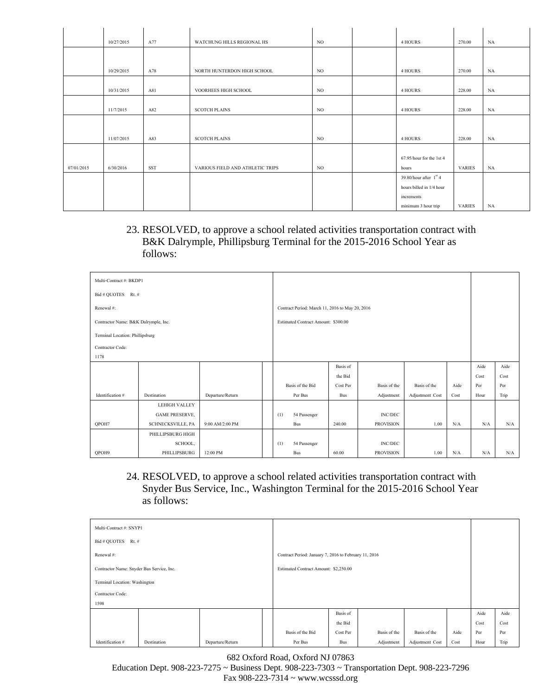|            | 10/27/2015 | A77        | WATCHUNG HILLS REGIONAL HS       | NO  | 4 HOURS                  | 270.00        | NA |
|------------|------------|------------|----------------------------------|-----|--------------------------|---------------|----|
|            |            |            |                                  |     |                          |               |    |
|            |            |            |                                  |     |                          |               |    |
|            | 10/29/2015 | A78        | NORTH HUNTERDON HIGH SCHOOL      | NO  | 4 HOURS                  | 270.00        | NA |
|            |            |            |                                  |     |                          |               |    |
|            | 10/31/2015 | A81        | VOORHEES HIGH SCHOOL             | NO. | 4 HOURS                  | 228.00        | NA |
|            |            |            |                                  |     |                          |               |    |
|            | 11/7/2015  | A82        | <b>SCOTCH PLAINS</b>             | NO. | 4 HOURS                  | 228.00        | NA |
|            |            |            |                                  |     |                          |               |    |
|            |            |            |                                  |     |                          |               |    |
|            | 11/07/2015 | A83        | <b>SCOTCH PLAINS</b>             | NO. | 4 HOURS                  | 228.00        | NA |
|            |            |            |                                  |     |                          |               |    |
|            |            |            |                                  |     | 67.95/hour for the 1st 4 |               |    |
| 07/01/2015 | 6/30/2016  | <b>SST</b> | VARIOUS FIELD AND ATHLETIC TRIPS | NO. | hours                    | <b>VARIES</b> | NA |
|            |            |            |                                  |     | 39.80/hour after $1st$ 4 |               |    |
|            |            |            |                                  |     | hours billed in 1/4 hour |               |    |
|            |            |            |                                  |     | increments               |               |    |
|            |            |            |                                  |     | minimum 3 hour trip      | <b>VARIES</b> | NA |

23. RESOLVED, to approve a school related activities transportation contract with B&K Dalrymple, Phillipsburg Terminal for the 2015-2016 School Year as follows:

| Multi-Contract #: BKDP1              |                       |                  |     |                                                 |          |                  |                 |      |      |      |
|--------------------------------------|-----------------------|------------------|-----|-------------------------------------------------|----------|------------------|-----------------|------|------|------|
| Bid # QUOTES Rt. #                   |                       |                  |     |                                                 |          |                  |                 |      |      |      |
| Renewal #:                           |                       |                  |     | Contract Period: March 11, 2016 to May 20, 2016 |          |                  |                 |      |      |      |
| Contractor Name: B&K Dalrymple, Inc. |                       |                  |     | Estimated Contract Amount: \$300.00             |          |                  |                 |      |      |      |
| Terminal Location: Phillipsburg      |                       |                  |     |                                                 |          |                  |                 |      |      |      |
| Contractor Code:                     |                       |                  |     |                                                 |          |                  |                 |      |      |      |
| 1178                                 |                       |                  |     |                                                 |          |                  |                 |      |      |      |
|                                      |                       |                  |     |                                                 | Basis of |                  |                 |      | Aide | Aide |
|                                      |                       |                  |     |                                                 | the Bid  |                  |                 |      | Cost | Cost |
|                                      |                       |                  |     | Basis of the Bid                                | Cost Per | Basis of the     | Basis of the    | Aide | Per  | Per  |
| Identification #                     | Destination           | Departure/Return |     | Per Bus                                         | Bus      | Adjustment       | Adjustment Cost | Cost | Hour | Trip |
|                                      | <b>LEHIGH VALLEY</b>  |                  |     |                                                 |          |                  |                 |      |      |      |
|                                      | <b>GAME PRESERVE,</b> |                  | (1) | 54 Passenger                                    |          | <b>INC/DEC</b>   |                 |      |      |      |
| OPOH7                                | SCHNECKSVILLE, PA     | 9:00 AM/2:00 PM  |     | Bus                                             | 240.00   | <b>PROVISION</b> | 1.00            | N/A  | N/A  | N/A  |
|                                      | PHILLIPSBURG HIGH     |                  |     |                                                 |          |                  |                 |      |      |      |
|                                      | SCHOOL,               |                  | (1) | 54 Passenger                                    |          | <b>INC/DEC</b>   |                 |      |      |      |
| OPOH9                                | PHILLIPSBURG          | 12:00 PM         |     | Bus                                             | 60.00    | <b>PROVISION</b> | 1.00            | N/A  | N/A  | N/A  |

24. RESOLVED, to approve a school related activities transportation contract with Snyder Bus Service, Inc., Washington Terminal for the 2015-2016 School Year as follows:

| Multi-Contract #: SNYP1                   |             |                  |  |                                                       |            |              |                 |      |      |      |
|-------------------------------------------|-------------|------------------|--|-------------------------------------------------------|------------|--------------|-----------------|------|------|------|
| Bid # QUOTES<br>Rt. #                     |             |                  |  |                                                       |            |              |                 |      |      |      |
| Renewal #:                                |             |                  |  | Contract Period: January 7, 2016 to February 11, 2016 |            |              |                 |      |      |      |
| Contractor Name: Snyder Bus Service, Inc. |             |                  |  | Estimated Contract Amount: \$2,250.00                 |            |              |                 |      |      |      |
| Terminal Location: Washington             |             |                  |  |                                                       |            |              |                 |      |      |      |
| Contractor Code:                          |             |                  |  |                                                       |            |              |                 |      |      |      |
| 1598                                      |             |                  |  |                                                       |            |              |                 |      |      |      |
|                                           |             |                  |  |                                                       | Basis of   |              |                 |      | Aide | Aide |
|                                           |             |                  |  |                                                       | the Bid    |              |                 |      | Cost | Cost |
|                                           |             |                  |  | Basis of the Bid                                      | Cost Per   | Basis of the | Basis of the    | Aide | Per  | Per  |
| Identification #                          | Destination | Departure/Return |  | Per Bus                                               | <b>Bus</b> | Adjustment   | Adjustment Cost | Cost | Hour | Trip |